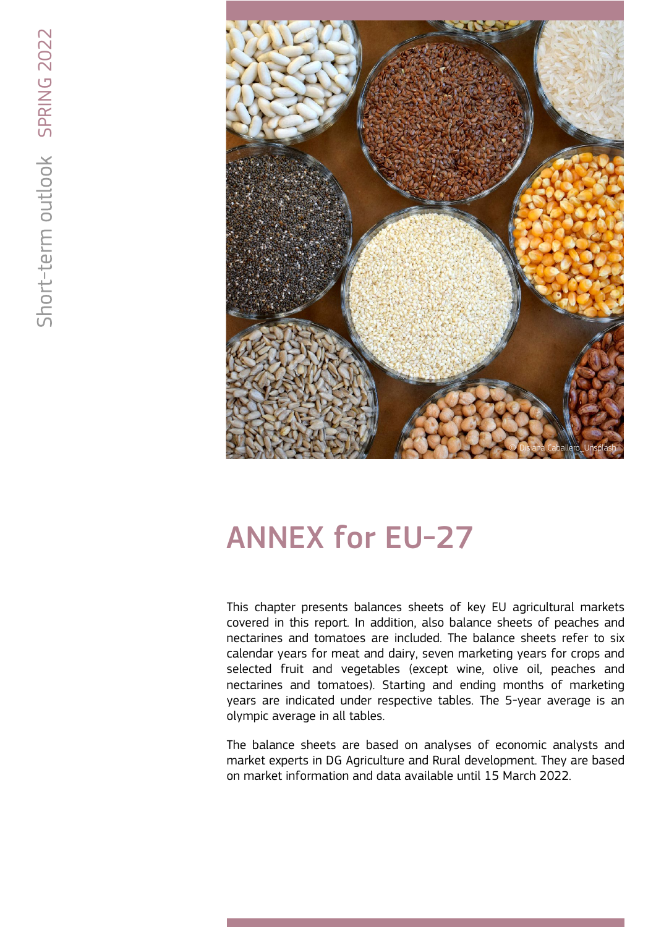

# ANNEX for EU-27

This chapter presents balances sheets of key EU agricultural markets covered in this report. In addition, also balance sheets of peaches and nectarines and tomatoes are included. The balance sheets refer to six calendar years for meat and dairy, seven marketing years for crops and selected fruit and vegetables (except wine, olive oil, peaches and nectarines and tomatoes). Starting and ending months of marketing years are indicated under respective tables. The 5-year average is an olympic average in all tables.

The balance sheets are based on analyses of economic analysts and market experts in DG Agriculture and Rural development. They are based on market information and data available until 15 March 2022.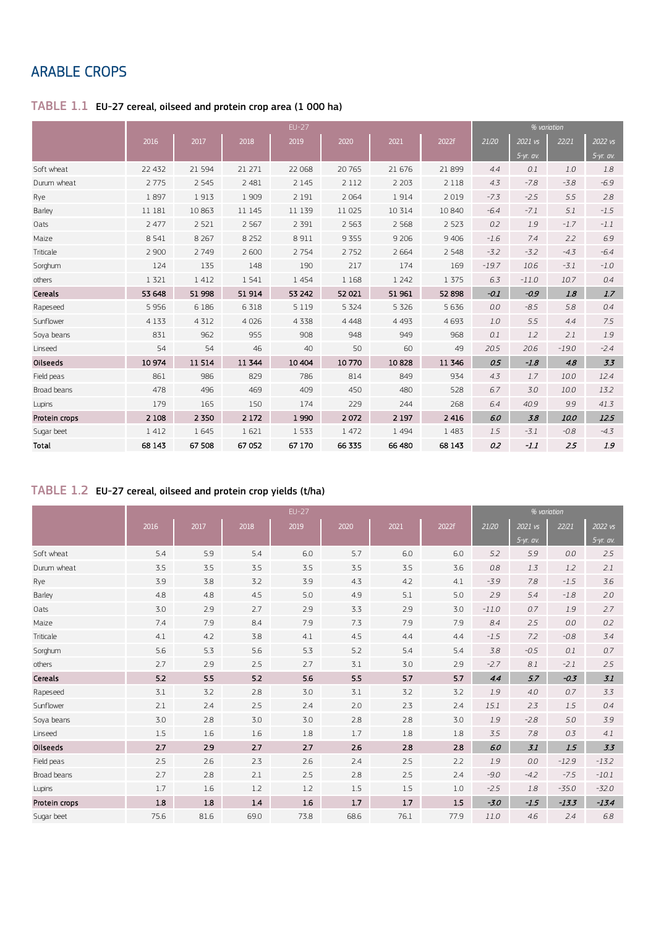# ARABLE CROPS

#### $\mathsf{TABLE}\;1.1\;$  EU-27 cereal, oilseed and protein crop area (1 000 ha)

|               |         |          |         | $EU-27$ |         |         |         |         |             | % variation |             |
|---------------|---------|----------|---------|---------|---------|---------|---------|---------|-------------|-------------|-------------|
|               | 2016    | 2017     | 2018    | 2019    | 2020    | 2021    | 2022f   | 21/20   | 2021 vs     | 22/21       | 2022 vs     |
|               |         |          |         |         |         |         |         |         | $5-yr.$ av. |             | $5-yr.$ av. |
| Soft wheat    | 22 4 32 | 21 5 9 4 | 21 27 1 | 22 068  | 20765   | 21 676  | 21 899  | 4.4     | 0.1         | 1.0         | 1.8         |
| Durum wheat   | 2 7 7 5 | 2 5 4 5  | 2 4 8 1 | 2 1 4 5 | 2 1 1 2 | 2 2 0 3 | 2 1 1 8 | 4.3     | $-7.8$      | $-3.8$      | $-6.9$      |
| Rye           | 1897    | 1913     | 1 909   | 2 1 9 1 | 2 0 6 4 | 1914    | 2019    | $-7.3$  | $-2.5$      | 5.5         | 2.8         |
| Barley        | 11 181  | 10863    | 11 145  | 11 139  | 11 0 25 | 10 3 14 | 10 840  | $-6.4$  | $-7.1$      | 5.1         | $-1.5$      |
| Oats          | 2 4 7 7 | 2 5 2 1  | 2 5 6 7 | 2 3 9 1 | 2 5 6 3 | 2 5 6 8 | 2 5 2 3 | 0.2     | 1.9         | $-1.7$      | $-1.1$      |
| Maize         | 8 5 4 1 | 8 2 6 7  | 8 2 5 2 | 8911    | 9355    | 9 2 0 6 | 9 4 0 6 | $-1.6$  | 7.4         | 2.2         | 6.9         |
| Triticale     | 2 900   | 2749     | 2 600   | 2754    | 2752    | 2 6 6 4 | 2 5 4 8 | $-3.2$  | $-3.2$      | $-4.3$      | $-6.4$      |
| Sorghum       | 124     | 135      | 148     | 190     | 217     | 174     | 169     | $-19.7$ | 10.6        | $-3.1$      | $-1.0$      |
| others        | 1 3 2 1 | 1 4 1 2  | 1 5 4 1 | 1 4 5 4 | 1 1 68  | 1 2 4 2 | 1 375   | 6.3     | $-11.0$     | 10.7        | 0.4         |
| Cereals       | 53 648  | 51 998   | 51 914  | 53 242  | 52 021  | 51 961  | 52 898  | $-0.1$  | $-0.9$      | 1.8         | 1.7         |
| Rapeseed      | 5 9 5 6 | 6 18 6   | 6 3 1 8 | 5 1 1 9 | 5 3 2 4 | 5 3 2 6 | 5 6 3 6 | 0.0     | $-8.5$      | 5.8         | 0.4         |
| Sunflower     | 4 1 3 3 | 4 3 1 2  | 4 0 2 6 | 4 3 3 8 | 4 4 4 8 | 4 4 9 3 | 4693    | 1.0     | 5.5         | 4.4         | 7.5         |
| Soya beans    | 831     | 962      | 955     | 908     | 948     | 949     | 968     | 0.1     | 1.2         | 2.1         | 1.9         |
| Linseed       | 54      | 54       | 46      | 40      | 50      | 60      | 49      | 20.5    | 20.6        | $-19.0$     | $-2.4$      |
| Oilseeds      | 10974   | 11514    | 11 344  | 10 40 4 | 10770   | 10828   | 11 346  | 0.5     | $-1.8$      | 4.8         | 3.3         |
| Field peas    | 861     | 986      | 829     | 786     | 814     | 849     | 934     | 4.3     | 1.7         | 10.0        | 12.4        |
| Broad beans   | 478     | 496      | 469     | 409     | 450     | 480     | 528     | 6.7     | 3.0         | 10.0        | 13.2        |
| Lupins        | 179     | 165      | 150     | 174     | 229     | 244     | 268     | 6.4     | 40.9        | 9.9         | 41.3        |
| Protein crops | 2 1 0 8 | 2 3 5 0  | 2 1 7 2 | 1990    | 2072    | 2 1 9 7 | 2 4 1 6 | 6.0     | 3.8         | 10.0        | 12.5        |
| Sugar beet    | 1412    | 1 6 4 5  | 1621    | 1 5 3 3 | 1 472   | 1 4 9 4 | 1 4 8 3 | 1.5     | $-3.1$      | $-0.8$      | $-4.3$      |
| Total         | 68 143  | 67 508   | 67 052  | 67 170  | 66 335  | 66 480  | 68 143  | 0.2     | $-1.1$      | 2.5         | 1.9         |

# TABLE 1.2 EU-27 cereal, oilseed and protein crop yields (t/ha)

|               |      |      |      |      | % variation |         |                  |         |             |         |             |
|---------------|------|------|------|------|-------------|---------|------------------|---------|-------------|---------|-------------|
|               | 2016 | 2017 | 2018 | 2019 | 2020        | 2021    | 2022f            | 21/20   | 2021 vs     | 22/21   | 2022 vs     |
|               |      |      |      |      |             |         |                  |         | $5-yr.$ av. |         | $5-yr.$ av. |
| Soft wheat    | 5.4  | 5.9  | 5.4  | 6.0  | 5.7         | 6.0     | 6.0              | 5.2     | 5.9         | 0.0     | 2.5         |
| Durum wheat   | 3.5  | 3.5  | 3.5  | 3.5  | 3.5         | 3.5     | 3.6              | 0.8     | 1.3         | 1.2     | 2.1         |
| Rye           | 3.9  | 3.8  | 3.2  | 3.9  | 4.3         | 4.2     | 4.1              | $-3.9$  | 7.8         | $-1.5$  | 3.6         |
| Barley        | 4.8  | 4.8  | 4.5  | 5.0  | 4.9         | 5.1     | 5.0              | 2.9     | 5.4         | $-1.8$  | 2.0         |
| Oats          | 3.0  | 2.9  | 2.7  | 2.9  | 3.3         | 2.9     | 3.0              | $-11.0$ | 0.7         | 1.9     | 2.7         |
| Maize         | 7.4  | 7.9  | 8.4  | 7.9  | 7.3         | 7.9     | 7.9              | 8.4     | 2.5         | 0.0     | 0.2         |
| Triticale     | 4.1  | 4.2  | 3.8  | 4.1  | 4.5         | 4.4     | 4.4              | $-1.5$  | 7.2         | $-0.8$  | 3.4         |
| Sorghum       | 5.6  | 5.3  | 5.6  | 5.3  | 5.2         | 5.4     | 5.4              | 3.8     | $-0.5$      | 0.1     | 0.7         |
| others        | 2.7  | 2.9  | 2.5  | 2.7  | 3.1         | 3.0     | 2.9              | $-2.7$  | 8.1         | $-2.1$  | 2.5         |
| Cereals       | 5.2  | 5.5  | 5.2  | 5.6  | 5.5         | 5.7     | 5.7              | 4.4     | 5.7         | $-0.3$  | 3.1         |
| Rapeseed      | 3.1  | 3.2  | 2.8  | 3.0  | 3.1         | 3.2     | 3.2              | 1.9     | 4.0         | 0.7     | 3.3         |
| Sunflower     | 2.1  | 2.4  | 2.5  | 2.4  | 2.0         | 2.3     | 2.4              | 15.1    | 2.3         | 1.5     | 0.4         |
| Soya beans    | 3.0  | 2.8  | 3.0  | 3.0  | 2.8         | 2.8     | 3.0              | 1.9     | $-2.8$      | 5.0     | 3.9         |
| Linseed       | 1.5  | 1.6  | 1.6  | 1.8  | 1.7         | 1.8     | 1.8              | 3.5     | 7.8         | 0.3     | 4.1         |
| Oilseeds      | 2.7  | 2.9  | 2.7  | 2.7  | 2.6         | 2.8     | 2.8              | 6.0     | 3.1         | 1.5     | 3.3         |
| Field peas    | 2.5  | 2.6  | 2.3  | 2.6  | 2.4         | 2.5     | 2.2              | 1.9     | 0.0         | $-12.9$ | $-13.2$     |
| Broad beans   | 2.7  | 2.8  | 2.1  | 2.5  | 2.8         | 2.5     | 2.4              | $-9.0$  | $-4.2$      | $-7.5$  | $-10.1$     |
| Lupins        | 1.7  | 1.6  | 1.2  | 1.2  | 1.5         | 1.5     | 1.0              | $-2.5$  | 1.8         | $-35.0$ | $-32.0$     |
| Protein crops | 1.8  | 1.8  | 1.4  | 1.6  | $1.7$       | $1.7\,$ | $1.5\phantom{0}$ | $-3.0$  | $-1.5$      | $-13.3$ | $-13.4$     |
| Sugar beet    | 75.6 | 81.6 | 69.0 | 73.8 | 68.6        | 76.1    | 77.9             | 11.0    | 4.6         | 2.4     | 6.8         |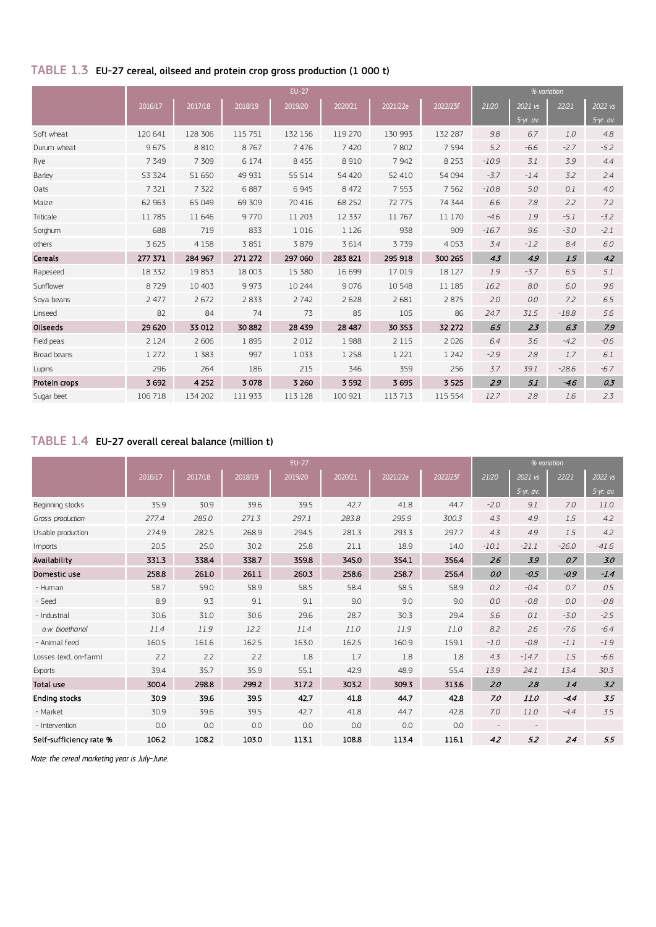# TABLE 1.3 EU-27 cereal, oilseed and protein crop gross production (1 000 t)

|               |         |         |         |         |          |          | % variation |         |           |         |             |
|---------------|---------|---------|---------|---------|----------|----------|-------------|---------|-----------|---------|-------------|
|               | 2016/17 | 2017/18 | 2018/19 | 2019/20 | 2020/21  | 2021/22e | 2022/23f    | 21/20   | 2021 vs   | 22/21   | 2022 vs     |
|               |         |         |         |         |          |          |             |         | 5-yr. av. |         | $5-yr.$ av. |
| Soft wheat    | 120 641 | 128 306 | 115 751 | 132 156 | 119 270  | 130 993  | 132 287     | 9.8     | 6.7       | 1.0     | 4.8         |
| Durum wheat   | 9675    | 8810    | 8767    | 7476    | 7420     | 7802     | 7 5 9 4     | 5.2     | $-6.6$    | $-2.7$  | $-5.2$      |
| Rye           | 7 3 4 9 | 7 3 0 9 | 6 1 7 4 | 8 4 5 5 | 8910     | 7942     | 8 2 5 3     | $-10.9$ | 3.1       | 3.9     | 4.4         |
| Barley        | 53 324  | 51 650  | 49 931  | 55 514  | 54 4 20  | 52 410   | 54 094      | $-3.7$  | $-1.4$    | 3.2     | 2.4         |
| Oats          | 7 3 2 1 | 7 3 2 2 | 6887    | 6945    | 8 4 7 2  | 7 5 5 3  | 7 5 6 2     | $-10.8$ | 5.0       | 0.1     | 4.0         |
| Maize         | 62 963  | 65 049  | 69 309  | 70 416  | 68 25 2  | 72775    | 74 344      | 6.6     | 7.8       | 2.2     | 7.2         |
| Triticale     | 11 785  | 11 646  | 9770    | 11 203  | 12 3 3 7 | 11767    | 11 170      | $-4.6$  | 1.9       | $-5.1$  | $-3.2$      |
| Sorghum       | 688     | 719     | 833     | 1016    | 1 1 2 6  | 938      | 909         | $-16.7$ | 9.6       | $-3.0$  | $-2.1$      |
| others        | 3 6 2 5 | 4 1 5 8 | 3851    | 3879    | 3614     | 3739     | 4 0 5 3     | 3.4     | $-1.2$    | 8.4     | 6.0         |
| Cereals       | 277 371 | 284 967 | 271 272 | 297 060 | 283 821  | 295 918  | 300 265     | 4.3     | 4.9       | 1.5     | 4.2         |
| Rapeseed      | 18 3 32 | 19853   | 18 003  | 15 380  | 16 699   | 17019    | 18 127      | 1.9     | $-3.7$    | 6.5     | 5.1         |
| Sunflower     | 8729    | 10 40 3 | 9973    | 10 244  | 9076     | 10548    | 11 185      | 16.2    | 8.0       | 6.0     | 9.6         |
| Sova beans    | 2 477   | 2672    | 2833    | 2 7 4 2 | 2628     | 2 6 8 1  | 2875        | 2.0     | 0.0       | 7.2     | 6.5         |
| Linseed       | 82      | 84      | 74      | 73      | 85       | 105      | 86          | 24.7    | 31.5      | $-18.8$ | 5.6         |
| Oilseeds      | 29 6 20 | 33 012  | 30 882  | 28 439  | 28 487   | 30 353   | 32 272      | 6.5     | 2.3       | 6.3     | 7.9         |
| Field peas    | 2 1 2 4 | 2 606   | 1895    | 2012    | 1988     | 2 1 1 5  | 2026        | 6.4     | 3.6       | $-4.2$  | $-0.6$      |
| Broad beans   | 1 2 7 2 | 1 3 8 3 | 997     | 1033    | 1 2 5 8  | 1 2 2 1  | 1 2 4 2     | $-2.9$  | 2.8       | 1.7     | 6.1         |
| Lupins        | 296     | 264     | 186     | 215     | 346      | 359      | 256         | 3.7     | 39.1      | $-28.6$ | $-6.7$      |
| Protein crops | 3692    | 4 2 5 2 | 3078    | 3 2 6 0 | 3 5 9 2  | 3695     | 3 5 2 5     | 2.9     | 5.1       | $-4.6$  | 0.3         |
| Sugar beet    | 106 718 | 134 202 | 111 933 | 113 128 | 100 921  | 113713   | 115 554     | 12.7    | 2.8       | 1.6     | 2.3         |

# TABLE 1.4 EU-27 overall cereal balance (million t)

|                         |         |         |         |         |         |          | % variation |         |           |         |             |
|-------------------------|---------|---------|---------|---------|---------|----------|-------------|---------|-----------|---------|-------------|
|                         | 2016/17 | 2017/18 | 2018/19 | 2019/20 | 2020/21 | 2021/22e | 2022/23f    | 21/20   | 2021 vs   | 22/21   | 2022 vs     |
|                         |         |         |         |         |         |          |             |         | 5-yr. av. |         | $5-yr.$ av. |
| Beginning stocks        | 35.9    | 30.9    | 39.6    | 39.5    | 42.7    | 41.8     | 44.7        | $-2.0$  | 9.1       | 7.0     | 11.0        |
| Gross production        | 277.4   | 285.0   | 271.3   | 297.1   | 283.8   | 295.9    | 300.3       | 4.3     | 4.9       | 1.5     | 4.2         |
| Usable production       | 274.9   | 282.5   | 268.9   | 294.5   | 281.3   | 293.3    | 297.7       | 4.3     | 4.9       | 1.5     | 4.2         |
| Imports                 | 20.5    | 25.0    | 30.2    | 25.8    | 21.1    | 18.9     | 14.0        | $-10.1$ | $-21.1$   | $-26.0$ | $-41.6$     |
| Availability            | 331.3   | 338.4   | 338.7   | 359.8   | 345.0   | 354.1    | 356.4       | 2.6     | 3.9       | 0.7     | 3.0         |
| Domestic use            | 258.8   | 261.0   | 261.1   | 260.3   | 258.6   | 258.7    | 256.4       | 0.0     | $-0.5$    | $-0.9$  | $-1.4$      |
| - Human                 | 58.7    | 59.0    | 58.9    | 58.5    | 58.4    | 58.5     | 58.9        | 0.2     | $-0.4$    | 0.7     | 0.5         |
| - Seed                  | 8.9     | 9.3     | 9.1     | 9.1     | 9.0     | 9.0      | 9.0         | 0.0     | $-0.8$    | 0.0     | $-0.8$      |
| - Industrial            | 30.6    | 31.0    | 30.6    | 29.6    | 28.7    | 30.3     | 29.4        | 5.6     | 0.1       | $-3.0$  | $-2.5$      |
| o.w. bioethanol         | 11.4    | 11.9    | 12.2    | 11.4    | 11.0    | 11.9     | 11.0        | 8.2     | 2.6       | $-7.6$  | $-6.4$      |
| - Animal feed           | 160.5   | 161.6   | 162.5   | 163.0   | 162.5   | 160.9    | 159.1       | $-1.0$  | $-0.8$    | $-1.1$  | $-1.9$      |
| Losses (excl. on-farm)  | 2.2     | 2.2     | 2.2     | 1.8     | 1.7     | 1.8      | 1.8         | 4.3     | $-14.7$   | 1.5     | $-6.6$      |
| <b>Exports</b>          | 39.4    | 35.7    | 35.9    | 55.1    | 42.9    | 48.9     | 55.4        | 13.9    | 24.1      | 13.4    | 30.3        |
| Total use               | 300.4   | 298.8   | 299.2   | 317.2   | 303.2   | 309.3    | 313.6       | 2.0     | 2.8       | 1.4     | 3.2         |
| <b>Ending stocks</b>    | 30.9    | 39.6    | 39.5    | 42.7    | 41.8    | 44.7     | 42.8        | 7.0     | 11.0      | $-4.4$  | 3.5         |
| - Market                | 30.9    | 39.6    | 39.5    | 42.7    | 41.8    | 44.7     | 42.8        | 7.0     | 11.0      | $-4.4$  | 3.5         |
| - Intervention          | 0.0     | 0.0     | 0.0     | 0.0     | 0.0     | 0.0      | 0.0         |         |           |         |             |
| Self-sufficiency rate % | 106.2   | 108.2   | 103.0   | 113.1   | 108.8   | 113.4    | 116.1       | 4.2     | 5.2       | 2.4     | 5.5         |

*Note: the cereal marketing year is July-June.*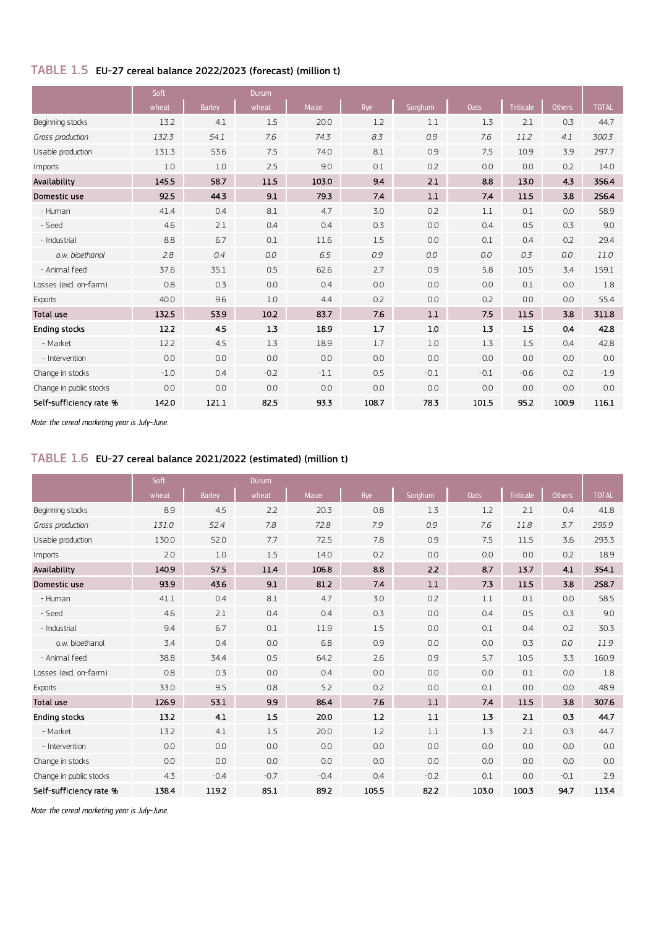## TABLE 1.5 EU-27 cereal balance 2022/2023 (forecast) (million t)

|                         | Soft<br><b>Durum</b> |               |         |              |       |         |             |                  |               |              |
|-------------------------|----------------------|---------------|---------|--------------|-------|---------|-------------|------------------|---------------|--------------|
|                         | wheat                | <b>Barley</b> | wheat   | <b>Maize</b> | Rye   | Sorghum | <b>Oats</b> | <b>Triticale</b> | <b>Others</b> | <b>TOTAL</b> |
| Beginning stocks        | 13.2                 | 4.1           | 1.5     | 20.0         | 1.2   | 1.1     | 1.3         | 2.1              | 0.3           | 44.7         |
| Gross production        | 132.3                | 54.1          | 7.6     | 74.3         | 8.3   | 0.9     | 7.6         | 11.2             | 4.1           | 300.3        |
| Usable production       | 131.3                | 53.6          | 7.5     | 74.0         | 8.1   | 0.9     | 7.5         | 10.9             | 3.9           | 297.7        |
| Imports                 | 1.0                  | 1.0           | 2.5     | 9.0          | 0.1   | 0.2     | 0.0         | 0.0              | 0.2           | 14.0         |
| Availability            | 145.5                | 58.7          | 11.5    | 103.0        | 9.4   | 2.1     | 8.8         | 13.0             | 4.3           | 356.4        |
| Domestic use            | 92.5                 | 44.3          | 9.1     | 79.3         | 7.4   | 1.1     | 7.4         | 11.5             | 3.8           | 256.4        |
| - Human                 | 41.4                 | 0.4           | 8.1     | 4.7          | 3.0   | 0.2     | 1.1         | 0.1              | 0.0           | 58.9         |
| - Seed                  | 4.6                  | 2.1           | 0.4     | 0.4          | 0.3   | 0.0     | 0.4         | 0.5              | 0.3           | 9.0          |
| - Industrial            | 8.8                  | 6.7           | 0.1     | 11.6         | 1.5   | 0.0     | 0.1         | 0.4              | 0.2           | 29.4         |
| o.w. bioethanol         | 2.8                  | 0.4           | 0.0     | 6.5          | 0.9   | 0.0     | 0.0         | 0.3              | 0.0           | 11.0         |
| - Animal feed           | 37.6                 | 35.1          | 0.5     | 62.6         | 2.7   | 0.9     | 5.8         | 10.5             | 3.4           | 159.1        |
| Losses (excl. on-farm)  | 0.8                  | 0.3           | 0.0     | 0.4          | 0.0   | 0.0     | 0.0         | 0.1              | 0.0           | 1.8          |
| <b>Exports</b>          | 40.0                 | 9.6           | 1.0     | 4.4          | 0.2   | 0.0     | 0.2         | 0.0              | 0.0           | 55.4         |
| <b>Total use</b>        | 132.5                | 53.9          | 10.2    | 83.7         | 7.6   | 1.1     | 7.5         | 11.5             | 3.8           | 311.8        |
| <b>Ending stocks</b>    | 12.2                 | 4.5           | $1.3\,$ | 18.9         | 1.7   | 1.0     | 1.3         | 1.5              | 0.4           | 42.8         |
| - Market                | 12.2                 | 4.5           | 1.3     | 18.9         | 1.7   | 1.0     | 1.3         | 1.5              | 0.4           | 42.8         |
| - Intervention          | 0.0                  | 0.0           | 0.0     | 0.0          | 0.0   | 0.0     | 0.0         | 0.0              | 0.0           | 0.0          |
| Change in stocks        | $-1.0$               | 0.4           | $-0.2$  | $-1.1$       | 0.5   | $-0.1$  | $-0.1$      | $-0.6$           | 0.2           | $-1.9$       |
| Change in public stocks | 0.0                  | 0.0           | 0.0     | 0.0          | 0.0   | 0.0     | 0.0         | 0.0              | 0.0           | 0.0          |
| Self-sufficiency rate % | 142.0                | 121.1         | 82.5    | 93.3         | 108.7 | 78.3    | 101.5       | 95.2             | 100.9         | 116.1        |

*Note: the cereal marketing year is July-June.*

#### TABLE 1.6 EU-27 cereal balance 2021/2022 (estimated) (million t)

|                         | Soft  |               | Durum   |        |         |         |             |                  |        |              |
|-------------------------|-------|---------------|---------|--------|---------|---------|-------------|------------------|--------|--------------|
|                         | wheat | <b>Barley</b> | wheat   | Maize  | Rye     | Sorghum | <b>Oats</b> | <b>Triticale</b> | Others | <b>TOTAL</b> |
| Beginning stocks        | 8.9   | 4.5           | 2.2     | 20.3   | 0.8     | 1.3     | 1.2         | 2.1              | 0.4    | 41.8         |
| Gross production        | 131.0 | 52.4          | 7.8     | 72.8   | 7.9     | 0.9     | 7.6         | 11.8             | 3.7    | 295.9        |
| Usable production       | 130.0 | 52.0          | 7.7     | 72.5   | 7.8     | 0.9     | 7.5         | 11.5             | 3.6    | 293.3        |
| Imports                 | 2.0   | 1.0           | 1.5     | 14.0   | 0.2     | 0.0     | 0.0         | 0.0              | 0.2    | 18.9         |
| Availability            | 140.9 | 57.5          | 11.4    | 106.8  | 8.8     | 2.2     | 8.7         | 13.7             | 4.1    | 354.1        |
| Domestic use            | 93.9  | 43.6          | 9.1     | 81.2   | 7.4     | $1.1\,$ | 7.3         | 11.5             | 3.8    | 258.7        |
| - Human                 | 41.1  | 0.4           | 8.1     | 4.7    | 3.0     | 0.2     | 1.1         | 0.1              | 0.0    | 58.5         |
| - Seed                  | 4.6   | 2.1           | 0.4     | 0.4    | 0.3     | 0.0     | 0.4         | 0.5              | 0.3    | 9.0          |
| - Industrial            | 9.4   | 6.7           | 0.1     | 11.9   | 1.5     | 0.0     | 0.1         | 0.4              | 0.2    | 30.3         |
| o.w. bioethanol         | 3.4   | 0.4           | 0.0     | 6.8    | 0.9     | 0.0     | 0.0         | 0.3              | 0.0    | 11.9         |
| - Animal feed           | 38.8  | 34.4          | 0.5     | 64.2   | 2.6     | 0.9     | 5.7         | 10.5             | 3.3    | 160.9        |
| Losses (excl. on-farm)  | 0.8   | 0.3           | 0.0     | 0.4    | 0.0     | 0.0     | 0.0         | 0.1              | 0.0    | 1.8          |
| <b>Exports</b>          | 33.0  | 9.5           | 0.8     | 5.2    | 0.2     | 0.0     | 0.1         | 0.0              | 0.0    | 48.9         |
| <b>Total use</b>        | 126.9 | 53.1          | 9.9     | 86.4   | 7.6     | $1.1\,$ | 7.4         | 11.5             | 3.8    | 307.6        |
| <b>Ending stocks</b>    | 13.2  | 4.1           | $1.5\,$ | 20.0   | $1.2\,$ | $1.1\,$ | 1.3         | 2.1              | 0.3    | 44.7         |
| - Market                | 13.2  | 4.1           | 1.5     | 20.0   | 1.2     | 1.1     | 1.3         | 2.1              | 0.3    | 44.7         |
| - Intervention          | 0.0   | 0.0           | 0.0     | 0.0    | 0.0     | 0.0     | 0.0         | 0.0              | 0.0    | 0.0          |
| Change in stocks        | 0.0   | 0.0           | 0.0     | 0.0    | 0.0     | 0.0     | 0.0         | 0.0              | 0.0    | 0.0          |
| Change in public stocks | 4.3   | $-0.4$        | $-0.7$  | $-0.4$ | 0.4     | $-0.2$  | 0.1         | 0.0              | $-0.1$ | 2.9          |
| Self-sufficiency rate % | 138.4 | 119.2         | 85.1    | 89.2   | 105.5   | 82.2    | 103.0       | 100.3            | 94.7   | 113.4        |

*Note: the cereal marketing year is July-June.*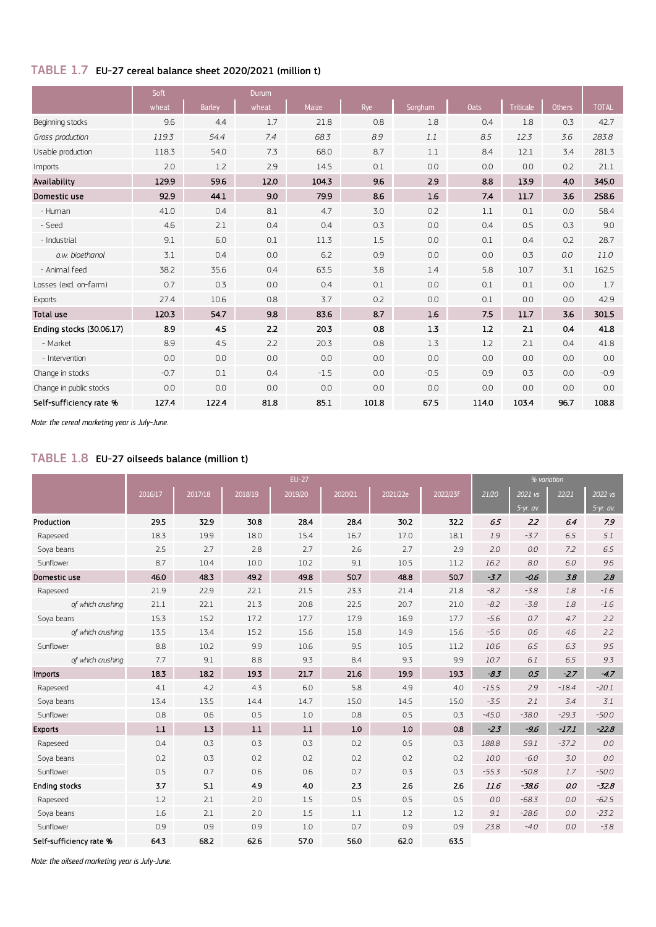## TABLE 1.7 EU-27 cereal balance sheet 2020/2021 (million t)

|                          | Soft   |               | <b>Durum</b> |        |       |         |             |                  |               |              |  |
|--------------------------|--------|---------------|--------------|--------|-------|---------|-------------|------------------|---------------|--------------|--|
|                          | wheat  | <b>Barley</b> | wheat        | Maize  | Rye   | Sorghum | <b>Oats</b> | <b>Triticale</b> | <b>Others</b> | <b>TOTAL</b> |  |
| Beginning stocks         | 9.6    | 4.4           | 1.7          | 21.8   | 0.8   | 1.8     | 0.4         | 1.8              | 0.3           | 42.7         |  |
| Gross production         | 119.3  | 54.4          | 7.4          | 68.3   | 8.9   | 1.1     | 8.5         | 12.3             | 3.6           | 283.8        |  |
| Usable production        | 118.3  | 54.0          | 7.3          | 68.0   | 8.7   | 1.1     | 8.4         | 12.1             | 3.4           | 281.3        |  |
| Imports                  | 2.0    | 1.2           | 2.9          | 14.5   | 0.1   | 0.0     | 0.0         | 0.0              | 0.2           | 21.1         |  |
| Availability             | 129.9  | 59.6          | 12.0         | 104.3  | 9.6   | 2.9     | 8.8         | 13.9             | 4.0           | 345.0        |  |
| Domestic use             | 92.9   | 44.1          | 9.0          | 79.9   | 8.6   | 1.6     | 7.4         | 11.7             | 3.6           | 258.6        |  |
| - Human                  | 41.0   | 0.4           | 8.1          | 4.7    | 3.0   | 0.2     | 1.1         | 0.1              | 0.0           | 58.4         |  |
| - Seed                   | 4.6    | 2.1           | 0.4          | 0.4    | 0.3   | 0.0     | 0.4         | 0.5              | 0.3           | 9.0          |  |
| - Industrial             | 9.1    | 6.0           | 0.1          | 11.3   | 1.5   | 0.0     | 0.1         | 0.4              | 0.2           | 28.7         |  |
| o.w. bioethanol          | 3.1    | 0.4           | 0.0          | 6.2    | 0.9   | 0.0     | 0.0         | 0.3              | 0.0           | 11.0         |  |
| - Animal feed            | 38.2   | 35.6          | 0.4          | 63.5   | 3.8   | 1.4     | 5.8         | 10.7             | 3.1           | 162.5        |  |
| Losses (excl. on-farm)   | 0.7    | 0.3           | 0.0          | 0.4    | 0.1   | 0.0     | 0.1         | 0.1              | 0.0           | 1.7          |  |
| <b>Exports</b>           | 27.4   | 10.6          | 0.8          | 3.7    | 0.2   | 0.0     | 0.1         | 0.0              | 0.0           | 42.9         |  |
| <b>Total use</b>         | 120.3  | 54.7          | 9.8          | 83.6   | 8.7   | 1.6     | 7.5         | 11.7             | 3.6           | 301.5        |  |
| Ending stocks (30.06.17) | 8.9    | 4.5           | 2.2          | 20.3   | 0.8   | 1.3     | 1.2         | 2.1              | 0.4           | 41.8         |  |
| - Market                 | 8.9    | 4.5           | 2.2          | 20.3   | 0.8   | 1.3     | 1.2         | 2.1              | 0.4           | 41.8         |  |
| - Intervention           | 0.0    | 0.0           | 0.0          | 0.0    | 0.0   | 0.0     | 0.0         | 0.0              | 0.0           | 0.0          |  |
| Change in stocks         | $-0.7$ | 0.1           | 0.4          | $-1.5$ | 0.0   | $-0.5$  | 0.9         | 0.3              | 0.0           | $-0.9$       |  |
| Change in public stocks  | 0.0    | 0.0           | 0.0          | 0.0    | 0.0   | 0.0     | 0.0         | 0.0              | 0.0           | 0.0          |  |
| Self-sufficiency rate %  | 127.4  | 122.4         | 81.8         | 85.1   | 101.8 | 67.5    | 114.0       | 103.4            | 96.7          | 108.8        |  |

*Note: the cereal marketing year is July-June.*

# TABLE 1.8 EU-27 oilseeds balance (million t)

|                         | $EU-27$<br>% variation<br>$2021$ vs<br>22/21<br>2017/18<br>2018/19<br>2019/20<br>2020/21<br>2021/22e<br>21/20<br>2016/17<br>2022/23f |      |         |      |      |      |      |         |             |         |             |
|-------------------------|--------------------------------------------------------------------------------------------------------------------------------------|------|---------|------|------|------|------|---------|-------------|---------|-------------|
|                         |                                                                                                                                      |      |         |      |      |      |      |         |             |         | 2022 vs     |
|                         |                                                                                                                                      |      |         |      |      |      |      |         | $5-yr.$ av. |         | $5-yr.$ av. |
| Production              | 29.5                                                                                                                                 | 32.9 | 30.8    | 28.4 | 28.4 | 30.2 | 32.2 | 6.5     | 2.2         | 6.4     | 7.9         |
| Rapeseed                | 18.3                                                                                                                                 | 19.9 | 18.0    | 15.4 | 16.7 | 17.0 | 18.1 | 1.9     | $-3.7$      | 6.5     | 5.1         |
| Soya beans              | 2.5                                                                                                                                  | 2.7  | 2.8     | 2.7  | 2.6  | 2.7  | 2.9  | 2.0     | 0.0         | 7.2     | 6.5         |
| Sunflower               | 8.7                                                                                                                                  | 10.4 | 10.0    | 10.2 | 9.1  | 10.5 | 11.2 | 16.2    | 8.0         | 6.0     | 9.6         |
| Domestic use            | 46.0                                                                                                                                 | 48.3 | 49.2    | 49.8 | 50.7 | 48.8 | 50.7 | $-3.7$  | $-0.6$      | 3.8     | 2.8         |
| Rapeseed                | 21.9                                                                                                                                 | 22.9 | 22.1    | 21.5 | 23.3 | 21.4 | 21.8 | $-8.2$  | $-3.8$      | 1.8     | $-1.6$      |
| of which crushing       | 21.1                                                                                                                                 | 22.1 | 21.3    | 20.8 | 22.5 | 20.7 | 21.0 | $-8.2$  | $-3.8$      | 1.8     | $-1.6$      |
| Soya beans              | 15.3                                                                                                                                 | 15.2 | 17.2    | 17.7 | 17.9 | 16.9 | 17.7 | $-5.6$  | 0.7         | 4.7     | 2.2         |
| of which crushing       | 13.5                                                                                                                                 | 13.4 | 15.2    | 15.6 | 15.8 | 14.9 | 15.6 | $-5.6$  | 0.6         | 4.6     | 2.2         |
| Sunflower               | 8.8                                                                                                                                  | 10.2 | 9.9     | 10.6 | 9.5  | 10.5 | 11.2 | 10.6    | 6.5         | 6.3     | 9.5         |
| of which crushing       | 7.7                                                                                                                                  | 9.1  | 8.8     | 9.3  | 8.4  | 9.3  | 9.9  | 10.7    | 6.1         | 6.5     | 9.3         |
| <b>Imports</b>          | 18.3                                                                                                                                 | 18.2 | 19.3    | 21.7 | 21.6 | 19.9 | 19.3 | $-8.3$  | 0.5         | $-2.7$  | $-4.7$      |
| Rapeseed                | 4.1                                                                                                                                  | 4.2  | 4.3     | 6.0  | 5.8  | 4.9  | 4.0  | $-15.5$ | 2.9         | $-18.4$ | $-20.1$     |
| Soya beans              | 13.4                                                                                                                                 | 13.5 | 14.4    | 14.7 | 15.0 | 14.5 | 15.0 | $-3.5$  | 2.1         | 3.4     | 3.1         |
| Sunflower               | 0.8                                                                                                                                  | 0.6  | 0.5     | 1.0  | 0.8  | 0.5  | 0.3  | $-45.0$ | $-38.0$     | $-29.3$ | $-50.0$     |
| <b>Exports</b>          | $1.1\,$                                                                                                                              | 1.3  | $1.1\,$ | 1.1  | 1.0  | 1.0  | 0.8  | $-2.3$  | $-9.6$      | $-17.1$ | $-22.8$     |
| Rapeseed                | 0.4                                                                                                                                  | 0.3  | 0.3     | 0.3  | 0.2  | 0.5  | 0.3  | 188.8   | 59.1        | $-37.2$ | 0.0         |
| Soya beans              | 0.2                                                                                                                                  | 0.3  | 0.2     | 0.2  | 0.2  | 0.2  | 0.2  | 10.0    | $-6.0$      | 3.0     | 0.0         |
| Sunflower               | 0.5                                                                                                                                  | 0.7  | 0.6     | 0.6  | 0.7  | 0.3  | 0.3  | $-55.3$ | $-50.8$     | 1.7     | $-50.0$     |
| <b>Ending stocks</b>    | 3.7                                                                                                                                  | 5.1  | 4.9     | 4.0  | 2.3  | 2.6  | 2.6  | 11.6    | $-58.6$     | 0.0     | $-32.8$     |
| Rapeseed                | 1.2                                                                                                                                  | 2.1  | 2.0     | 1.5  | 0.5  | 0.5  | 0.5  | 0.0     | $-68.3$     | 0.0     | $-62.5$     |
| Soya beans              | 1.6                                                                                                                                  | 2.1  | 2.0     | 1.5  | 1.1  | 1.2  | 1.2  | 9.1     | $-28.6$     | 0.0     | $-23.2$     |
| Sunflower               | 0.9                                                                                                                                  | 0.9  | 0.9     | 1.0  | 0.7  | 0.9  | 0.9  | 23.8    | $-4.0$      | 0.0     | $-3.8$      |
| Self-sufficiency rate % | 64.3                                                                                                                                 | 68.2 | 62.6    | 57.0 | 56.0 | 62.0 | 63.5 |         |             |         |             |

*Note: the oilseed marketing year is July-June.*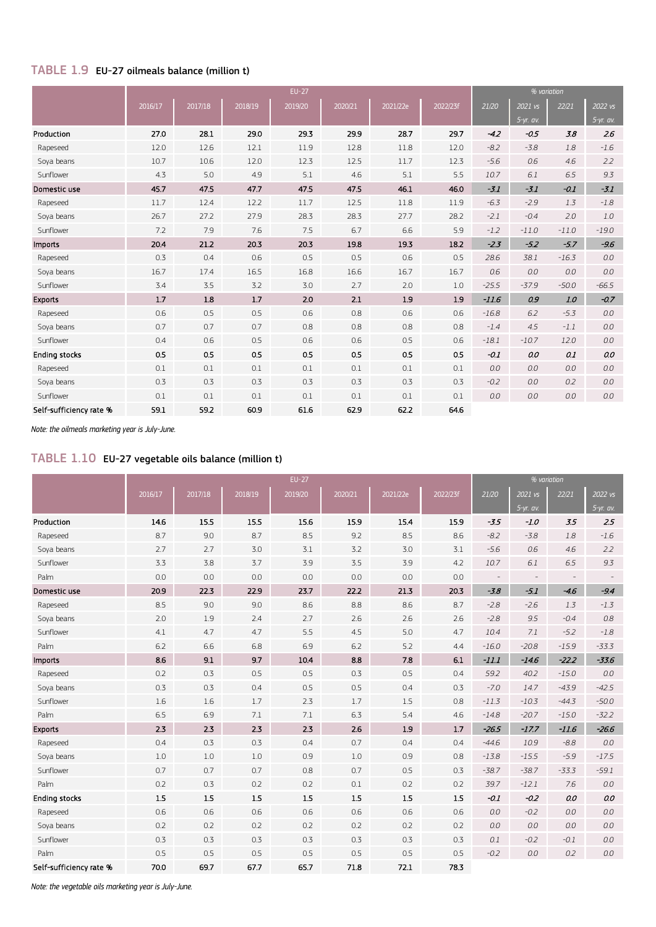## TABLE 1.9 EU-27 oilmeals balance (million t)

|                         |         |         |         | <b>EU-27</b> |         |          |          |         |           | % variation |             |
|-------------------------|---------|---------|---------|--------------|---------|----------|----------|---------|-----------|-------------|-------------|
|                         | 2016/17 | 2017/18 | 2018/19 | 2019/20      | 2020/21 | 2021/22e | 2022/23f | 21/20   | 2021 vs   | 22/21       | 2022 vs     |
|                         |         |         |         |              |         |          |          |         | 5-yr. av. |             | $5-yr.$ av. |
| Production              | 27.0    | 28.1    | 29.0    | 29.3         | 29.9    | 28.7     | 29.7     | $-42$   | $-0.5$    | 3.8         | 26          |
| Rapeseed                | 12.0    | 12.6    | 12.1    | 11.9         | 12.8    | 11.8     | 12.0     | $-8.2$  | $-3.8$    | 1.8         | $-1.6$      |
| Soya beans              | 10.7    | 10.6    | 12.0    | 12.3         | 12.5    | 11.7     | 12.3     | $-5.6$  | 0.6       | 4.6         | 2.2         |
| Sunflower               | 4.3     | 5.0     | 4.9     | 5.1          | 4.6     | 5.1      | 5.5      | 10.7    | 6.1       | 6.5         | 9.3         |
| Domestic use            | 45.7    | 47.5    | 47.7    | 47.5         | 47.5    | 46.1     | 46.0     | $-3.1$  | $-3.1$    | $-0.1$      | $-3.1$      |
| Rapeseed                | 11.7    | 12.4    | 12.2    | 11.7         | 12.5    | 11.8     | 11.9     | $-6.3$  | $-2.9$    | 1.3         | $-1.8$      |
| Soya beans              | 26.7    | 27.2    | 27.9    | 28.3         | 28.3    | 27.7     | 28.2     | $-2.1$  | $-0.4$    | 2.0         | 1.0         |
| Sunflower               | 7.2     | 7.9     | 7.6     | 7.5          | 6.7     | 6.6      | 5.9      | $-1.2$  | $-11.0$   | $-11.0$     | $-19.0$     |
| Imports                 | 20.4    | 21.2    | 20.3    | 20.3         | 19.8    | 19.3     | 18.2     | $-2.3$  | $-5.2$    | $-5.7$      | $-9.6$      |
| Rapeseed                | 0.3     | 0.4     | 0.6     | 0.5          | 0.5     | 0.6      | 0.5      | 28.6    | 38.1      | $-16.3$     | 0.0         |
| Soya beans              | 16.7    | 17.4    | 16.5    | 16.8         | 16.6    | 16.7     | 16.7     | 0.6     | 0.0       | 0.0         | 0.0         |
| Sunflower               | 3.4     | 3.5     | 3.2     | 3.0          | 2.7     | 2.0      | 1.0      | $-25.5$ | $-37.9$   | $-50.0$     | $-66.5$     |
| <b>Exports</b>          | 1.7     | 1.8     | $1.7$   | 2.0          | 2.1     | 1.9      | 1.9      | $-11.6$ | 0.9       | 1.0         | $-0.7$      |
| Rapeseed                | 0.6     | 0.5     | 0.5     | 0.6          | 0.8     | 0.6      | 0.6      | $-16.8$ | 6.2       | $-5.3$      | 0.0         |
| Soya beans              | 0.7     | 0.7     | 0.7     | 0.8          | 0.8     | 0.8      | 0.8      | $-1.4$  | 4.5       | $-1.1$      | 0.0         |
| Sunflower               | 0.4     | 0.6     | 0.5     | 0.6          | 0.6     | 0.5      | 0.6      | $-18.1$ | $-10.7$   | 12.0        | 0.0         |
| <b>Ending stocks</b>    | 0.5     | 0.5     | 0.5     | 0.5          | 0.5     | 0.5      | 0.5      | $-0.1$  | 0.0       | 0.1         | 0.0         |
| Rapeseed                | 0.1     | 0.1     | 0.1     | 0.1          | 0.1     | 0.1      | 0.1      | 0.0     | 0.0       | 0.0         | 0.0         |
| Soya beans              | 0.3     | 0.3     | 0.3     | 0.3          | 0.3     | 0.3      | 0.3      | $-0.2$  | 0.0       | 0.2         | 0.0         |
| Sunflower               | 0.1     | 0.1     | 0.1     | 0.1          | 0.1     | 0.1      | 0.1      | 0.0     | 0.0       | 0.0         | 0.0         |
| Self-sufficiency rate % | 59.1    | 59.2    | 60.9    | 61.6         | 62.9    | 62.2     | 64.6     |         |           |             |             |

*Note: the oilmeals marketing year is July-June.*

# TABLE 1.10 EU-27 vegetable oils balance (million t)

|                         | $EU-27$<br>% variation |         |         |         |         |          |          |                          |                          |         |             |
|-------------------------|------------------------|---------|---------|---------|---------|----------|----------|--------------------------|--------------------------|---------|-------------|
|                         | 2016/17                | 2017/18 | 2018/19 | 2019/20 | 2020/21 | 2021/22e | 2022/23f | 21/20                    | 2021 vs                  | 22/21   | 2022 vs     |
|                         |                        |         |         |         |         |          |          |                          | $5-yr.$ av.              |         | $5-yr.$ av. |
| Production              | 14.6                   | 15.5    | 15.5    | 15.6    | 15.9    | 15.4     | 15.9     | $-3.5$                   | $-1.0$                   | 3.5     | 2.5         |
| Rapeseed                | 8.7                    | 9.0     | 8.7     | 8.5     | 9.2     | 8.5      | 8.6      | $-8.2$                   | $-3.8$                   | 1.8     | $-1.6$      |
| Soya beans              | 2.7                    | 2.7     | 3.0     | 3.1     | 3.2     | 3.0      | 3.1      | $-5.6$                   | 0.6                      | 4.6     | 2.2         |
| Sunflower               | 3.3                    | 3.8     | 3.7     | 3.9     | 3.5     | 3.9      | 4.2      | 10.7                     | 6.1                      | 6.5     | 9.3         |
| Palm                    | 0.0                    | 0.0     | 0.0     | 0.0     | 0.0     | 0.0      | 0.0      | $\overline{\phantom{a}}$ | $\overline{\phantom{a}}$ |         |             |
| Domestic use            | 20.9                   | 22.3    | 22.9    | 23.7    | 22.2    | 21.3     | 20.3     | $-3.8$                   | $-5.1$                   | $-4.6$  | $-9.4$      |
| Rapeseed                | 8.5                    | 9.0     | 9.0     | 8.6     | 8.8     | 8.6      | 8.7      | $-2.8$                   | $-2.6$                   | 1.3     | $-1.3$      |
| Soya beans              | 2.0                    | 1.9     | 2.4     | 2.7     | 2.6     | 2.6      | 2.6      | $-2.8$                   | 9.5                      | $-0.4$  | 0.8         |
| Sunflower               | 4.1                    | 4.7     | 4.7     | 5.5     | 4.5     | 5.0      | 4.7      | 10.4                     | 7.1                      | $-5.2$  | $-1.8$      |
| Palm                    | 6.2                    | 6.6     | 6.8     | 6.9     | 6.2     | 5.2      | 4.4      | $-16.0$                  | $-20.8$                  | $-15.9$ | $-33.3$     |
| Imports                 | 8.6                    | 9.1     | 9.7     | 10.4    | 8.8     | 7.8      | 6.1      | $-11.1$                  | $-14.6$                  | $-22.2$ | $-33.6$     |
| Rapeseed                | 0.2                    | 0.3     | 0.5     | 0.5     | 0.3     | 0.5      | 0.4      | 59.2                     | 40.2                     | $-15.0$ | 0.0         |
| Soya beans              | 0.3                    | 0.3     | 0.4     | 0.5     | 0.5     | 0.4      | 0.3      | $-7.0$                   | 14.7                     | $-43.9$ | $-42.5$     |
| Sunflower               | 1.6                    | 1.6     | 1.7     | 2.3     | 1.7     | 1.5      | 0.8      | $-11.3$                  | $-10.3$                  | $-44.3$ | $-50.0$     |
| Palm                    | 6.5                    | 6.9     | 7.1     | 7.1     | 6.3     | 5.4      | 4.6      | $-14.8$                  | $-20.7$                  | $-15.0$ | $-32.2$     |
| <b>Exports</b>          | 2.3                    | 2.3     | 2.3     | 2.3     | 2.6     | 1.9      | $1.7\,$  | $-26.5$                  | $-17.7$                  | $-11.6$ | $-26.6$     |
| Rapeseed                | 0.4                    | 0.3     | 0.3     | 0.4     | 0.7     | 0.4      | 0.4      | $-44.6$                  | 10.9                     | $-8.8$  | 0.0         |
| Soya beans              | 1.0                    | 1.0     | 1.0     | 0.9     | 1.0     | 0.9      | 0.8      | $-13.8$                  | $-15.5$                  | $-5.9$  | $-17.5$     |
| Sunflower               | 0.7                    | 0.7     | 0.7     | 0.8     | 0.7     | 0.5      | 0.3      | $-38.7$                  | $-38.7$                  | $-33.3$ | $-59.1$     |
| Palm                    | 0.2                    | 0.3     | 0.2     | 0.2     | 0.1     | 0.2      | 0.2      | 39.7                     | $-12.1$                  | 7.6     | 0.0         |
| <b>Ending stocks</b>    | 1.5                    | 1.5     | 1.5     | 1.5     | 1.5     | 1.5      | 1.5      | $-0.1$                   | $-0.2$                   | 0.0     | 0.0         |
| Rapeseed                | 0.6                    | 0.6     | 0.6     | 0.6     | 0.6     | 0.6      | 0.6      | 0.0                      | $-0.2$                   | 0.0     | 0.0         |
| Soya beans              | 0.2                    | 0.2     | 0.2     | 0.2     | 0.2     | 0.2      | 0.2      | 0.0                      | 0.0                      | 0.0     | 0.0         |
| Sunflower               | 0.3                    | 0.3     | 0.3     | 0.3     | 0.3     | 0.3      | 0.3      | 0.1                      | $-0.2$                   | $-0.1$  | 0.0         |
| Palm                    | 0.5                    | 0.5     | 0.5     | 0.5     | 0.5     | 0.5      | 0.5      | $-0.2$                   | 0.0                      | 0.2     | 0.0         |
| Self-sufficiency rate % | 70.0                   | 69.7    | 67.7    | 65.7    | 71.8    | 72.1     | 78.3     |                          |                          |         |             |

*Note: the vegetable oils marketing year is July-June.*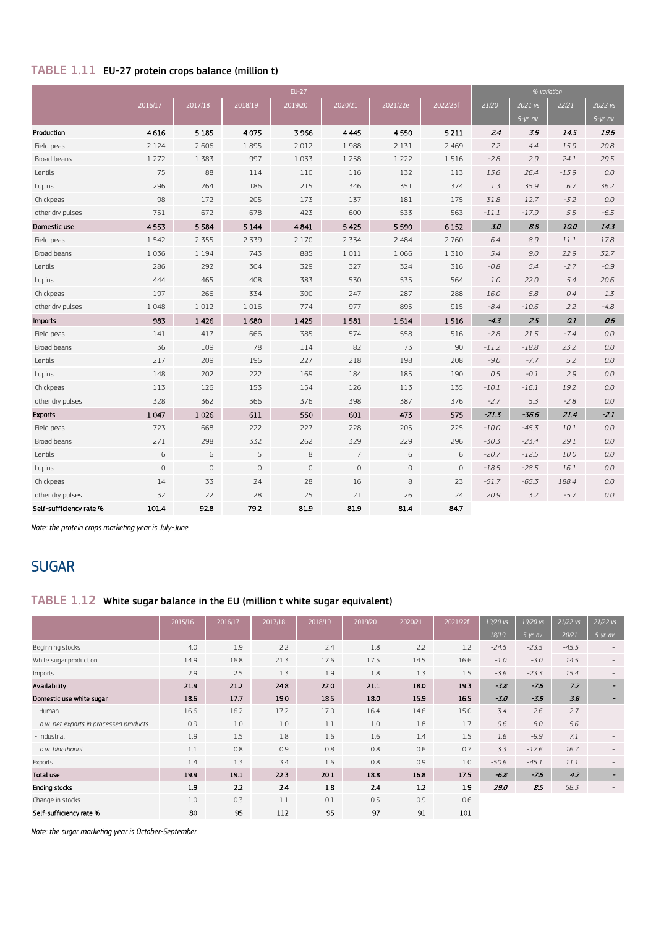# TABLE 1.11 EU-27 protein crops balance (million t)

|                         |             |         |         | $EU-27$     |                |                     |          |         | % variation |         |             |
|-------------------------|-------------|---------|---------|-------------|----------------|---------------------|----------|---------|-------------|---------|-------------|
|                         | 2016/17     | 2017/18 | 2018/19 | 2019/20     | 2020/21        | 2021/22e            | 2022/23f | 21/20   | 2021 vs     | 22/21   | 2022 vs     |
|                         |             |         |         |             |                |                     |          |         | $5-yr.$ av. |         | $5-yr.$ av. |
| Production              | 4616        | 5 1 8 5 | 4075    | 3966        | 4 4 4 5        | 4550                | 5 2 1 1  | 2.4     | 3.9         | 14.5    | 19.6        |
| Field peas              | 2 1 2 4     | 2 6 0 6 | 1895    | 2012        | 1988           | 2 1 3 1             | 2 4 6 9  | 7.2     | 4.4         | 15.9    | 20.8        |
| Broad beans             | 1 2 7 2     | 1 3 8 3 | 997     | 1033        | 1 2 5 8        | 1 2 2 2             | 1 5 1 6  | $-2.8$  | 2.9         | 24.1    | 29.5        |
| Lentils                 | 75          | 88      | 114     | 110         | 116            | 132                 | 113      | 13.6    | 26.4        | $-13.9$ | 0.0         |
| Lupins                  | 296         | 264     | 186     | 215         | 346            | 351                 | 374      | 1.3     | 35.9        | 6.7     | 36.2        |
| Chickpeas               | 98          | 172     | 205     | 173         | 137            | 181                 | 175      | 31.8    | 12.7        | $-3.2$  | 0.0         |
| other dry pulses        | 751         | 672     | 678     | 423         | 600            | 533                 | 563      | $-11.1$ | $-17.9$     | 5.5     | $-6.5$      |
| Domestic use            | 4553        | 5 5 8 4 | 5 1 4 4 | 4841        | 5425           | 5 5 9 0             | 6152     | 3.0     | 8.8         | 10.0    | 14.3        |
| Field peas              | 1542        | 2 3 5 5 | 2 3 3 9 | 2 1 7 0     | 2 3 3 4        | 2 4 8 4             | 2 7 6 0  | 6.4     | 8.9         | 11.1    | 17.8        |
| <b>Broad beans</b>      | 1036        | 1 1 9 4 | 743     | 885         | 1011           | 1 0 6 6             | 1 3 1 0  | 5.4     | 9.0         | 22.9    | 32.7        |
| Lentils                 | 286         | 292     | 304     | 329         | 327            | 324                 | 316      | $-0.8$  | 5.4         | $-2.7$  | $-0.9$      |
| Lupins                  | 444         | 465     | 408     | 383         | 530            | 535                 | 564      | 1.0     | 22.0        | 5.4     | 20.6        |
| Chickpeas               | 197         | 266     | 334     | 300         | 247            | 287                 | 288      | 16.0    | 5.8         | 0.4     | 1.3         |
| other dry pulses        | 1048        | 1012    | 1016    | 774         | 977            | 895                 | 915      | $-8.4$  | $-10.6$     | 2.2     | $-4.8$      |
| <b>Imports</b>          | 983         | 1426    | 1680    | 1 4 2 5     | 1581           | 1514                | 1516     | $-4.3$  | 2.5         | 0.1     | 0.6         |
| Field peas              | 141         | 417     | 666     | 385         | 574            | 558                 | 516      | $-2.8$  | 21.5        | $-7.4$  | 0.0         |
| Broad beans             | 36          | 109     | 78      | 114         | 82             | 73                  | 90       | $-11.2$ | $-18.8$     | 23.2    | 0.0         |
| Lentils                 | 217         | 209     | 196     | 227         | 218            | 198                 | 208      | $-9.0$  | $-7.7$      | 5.2     | 0.0         |
| Lupins                  | 148         | 202     | 222     | 169         | 184            | 185                 | 190      | 0.5     | $-0.1$      | 2.9     | 0.0         |
| Chickpeas               | 113         | 126     | 153     | 154         | 126            | 113                 | 135      | $-10.1$ | $-16.1$     | 19.2    | 0.0         |
| other dry pulses        | 328         | 362     | 366     | 376         | 398            | 387                 | 376      | $-2.7$  | 5.3         | $-2.8$  | 0.0         |
| <b>Exports</b>          | 1047        | 1026    | 611     | 550         | 601            | 473                 | 575      | $-21.3$ | $-36.6$     | 21.4    | $-2.1$      |
| Field peas              | 723         | 668     | 222     | 227         | 228            | 205                 | 225      | $-10.0$ | $-45.3$     | 10.1    | 0.0         |
| Broad beans             | 271         | 298     | 332     | 262         | 329            | 229                 | 296      | $-30.3$ | $-23.4$     | 29.1    | 0.0         |
| Lentils                 | 6           | 6       | 5       | 8           | $\overline{7}$ | 6                   | 6        | $-20.7$ | $-12.5$     | 10.0    | 0.0         |
| Lupins                  | $\mathsf O$ | $\circ$ | $\circ$ | $\mathbb O$ | $\mathbb O$    | $\mathsf{O}\xspace$ | 0        | $-18.5$ | $-28.5$     | 16.1    | 0.0         |
| Chickpeas               | 14          | 33      | 24      | 28          | 16             | 8                   | 23       | $-51.7$ | $-65.3$     | 188.4   | 0.0         |
| other dry pulses        | 32          | 22      | 28      | 25          | 21             | 26                  | 24       | 20.9    | 3.2         | $-5.7$  | 0.0         |
| Self-sufficiency rate % | 101.4       | 92.8    | 79.2    | 81.9        | 81.9           | 81.4                | 84.7     |         |             |         |             |

*Note: the protein crops marketing year is July-June.*

# SUGAR

## TABLE 1.12 White sugar balance in the EU (million t white sugar equivalent)

|                                        | 2015/16 | 2016/17 | 2017/18 | 2018/19 | 2019/20 | 2020/21 | 2021/22f | 19/20 vs | 19/20 vs    | $21/22$ vs | $21/22$ vs               |
|----------------------------------------|---------|---------|---------|---------|---------|---------|----------|----------|-------------|------------|--------------------------|
|                                        |         |         |         |         |         |         |          | 18/19    | $5-yr.$ av. | 20/21      | $5-yr.$ av.              |
| Beginning stocks                       | 4.0     | 1.9     | 2.2     | 2.4     | 1.8     | 2.2     | 1.2      | $-24.5$  | $-23.5$     | $-45.5$    | $\overline{\phantom{a}}$ |
| White sugar production                 | 14.9    | 16.8    | 21.3    | 17.6    | 17.5    | 14.5    | 16.6     | $-1.0$   | $-3.0$      | 14.5       |                          |
| Imports                                | 2.9     | 2.5     | 1.3     | 1.9     | 1.8     | 1.3     | 1.5      | $-3.6$   | $-23.3$     | 15.4       |                          |
| Availability                           | 21.9    | 21.2    | 24.8    | 22.0    | 21.1    | 18.0    | 19.3     | $-3.8$   | $-7.6$      | 7.2        | r.                       |
| Domestic use white sugar               | 18.6    | 17.7    | 19.0    | 18.5    | 18.0    | 15.9    | 16.5     | $-3.0$   | $-3.9$      | 3.8        |                          |
| - Human                                | 16.6    | 16.2    | 17.2    | 17.0    | 16.4    | 14.6    | 15.0     | $-3.4$   | $-2.6$      | 2.7        |                          |
| o.w. net exports in processed products | 0.9     | 1.0     | 1.0     | 1.1     | 1.0     | 1.8     | 1.7      | $-9.6$   | 8.0         | $-5.6$     |                          |
| - Industrial                           | 1.9     | 1.5     | 1.8     | 1.6     | 1.6     | 1.4     | 1.5      | 1.6      | $-9.9$      | 7.1        |                          |
| o.w. bioethanol                        | 1.1     | 0.8     | 0.9     | 0.8     | 0.8     | 0.6     | 0.7      | 3.3      | $-17.6$     | 16.7       |                          |
| Exports                                | 1.4     | 1.3     | 3.4     | 1.6     | 0.8     | 0.9     | 1.0      | $-50.6$  | $-45.1$     | 11.1       |                          |
| Total use                              | 19.9    | 19.1    | 22.3    | 20.1    | 18.8    | 16.8    | 17.5     | $-6.8$   | $-7.6$      | 4.2        |                          |
| <b>Ending stocks</b>                   | 1.9     | 2.2     | 2.4     | 1.8     | 2.4     | 1.2     | 1.9      | 29.0     | 8.5         | 58.3       |                          |
| Change in stocks                       | $-1.0$  | $-0.3$  | 1.1     | $-0.1$  | 0.5     | $-0.9$  | 0.6      |          |             |            |                          |
| Self-sufficiency rate %                | 80      | 95      | 112     | 95      | 97      | 91      | 101      |          |             |            |                          |

*Note: the sugar marketing year is October-September.*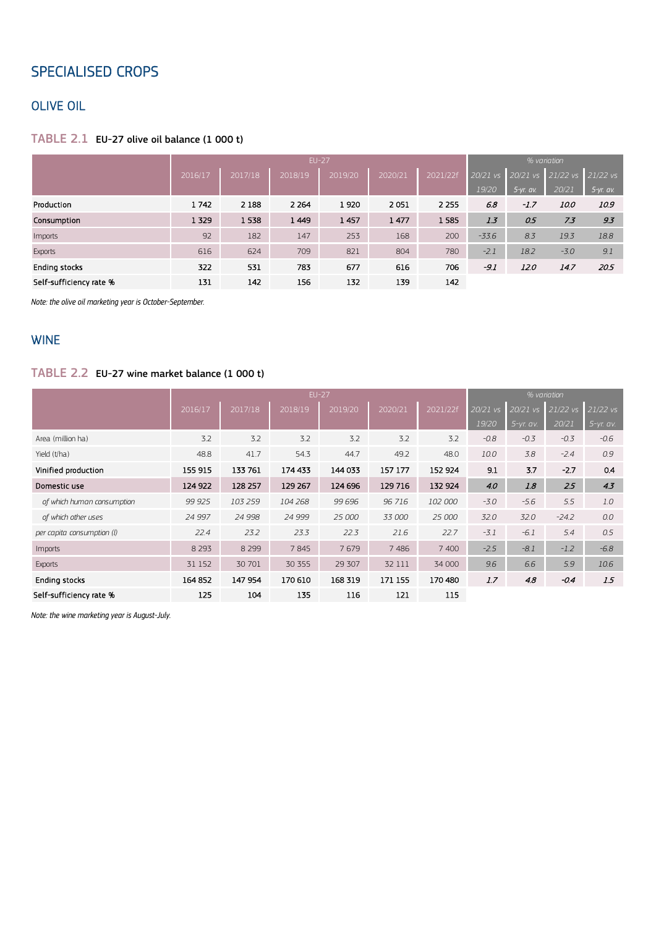# SPECIALISED CROPS

# OLIVE OIL

#### TABLE 2.1 EU-27 olive oil balance (1 000 t)

|                         |         |         | <b>EU-27</b> |         | % variation |          |            |             |            |             |
|-------------------------|---------|---------|--------------|---------|-------------|----------|------------|-------------|------------|-------------|
|                         | 2016/17 | 2017/18 | 2018/19      | 2019/20 | 2020/21     | 2021/22f | $20/21$ vs | 20/21 vs    | $21/22$ vs | $21/22$ vs  |
|                         |         |         |              |         |             |          | 19/20      | $5-yr.$ av. | 20/21      | $5-yr.$ av. |
| Production              | 1742    | 2 1 8 8 | 2 2 6 4      | 1920    | 2051        | 2 2 5 5  | 6.8        | $-1.7$      | 10.0       | 10.9        |
| Consumption             | 1 3 2 9 | 1538    | 1 4 4 9      | 1457    | 1477        | 1585     | 1.3        | 0.5         | 7.3        | 9.3         |
| Imports                 | 92      | 182     | 147          | 253     | 168         | 200      | $-33.6$    | 8.3         | 19.3       | 18.8        |
| <b>Exports</b>          | 616     | 624     | 709          | 821     | 804         | 780      | $-2.1$     | 18.2        | $-3.0$     | 9.1         |
| Ending stocks           | 322     | 531     | 783          | 677     | 616         | 706      | $-9.1$     | <i>12.0</i> | 14.7       | 20.5        |
| Self-sufficiency rate % | 131     | 142     | 156          | 132     | 139         | 142      |            |             |            |             |

*Note: the olive oil marketing year is October-September.*

# WINE

## TABLE 2.2 EU-27 wine market balance (1 000 t)

|                            |         |         | $EU-27$ |         | % variation |          |            |           |          |             |
|----------------------------|---------|---------|---------|---------|-------------|----------|------------|-----------|----------|-------------|
|                            | 2016/17 | 2017/18 | 2018/19 | 2019/20 | 2020/21     | 2021/22f | $20/21$ vs | 20/21 vs  | 21/22 vs | 21/22 vs    |
|                            |         |         |         |         |             |          | 19/20      | 5-yr. av. | 20/21    | $5-yr.$ av. |
| Area (million ha)          | 3.2     | 3.2     | 3.2     | 3.2     | 3.2         | 3.2      | $-0.8$     | $-0.3$    | $-0.3$   | $-0.6$      |
| Yield (t/ha)               | 48.8    | 41.7    | 54.3    | 44.7    | 49.2        | 48.0     | 10.0       | 3.8       | $-2.4$   | 0.9         |
| Vinified production        | 155 915 | 133 761 | 174 433 | 144 033 | 157 177     | 152 924  | 9.1        | 3.7       | $-2.7$   | 0.4         |
| Domestic use               | 124 922 | 128 257 | 129 267 | 124 696 | 129 716     | 132 924  | 4.0        | 1.8       | 2.5      | 4.3         |
| of which human consumption | 99 925  | 103 259 | 104 268 | 99 696  | 96 716      | 102 000  | $-3.0$     | $-5.6$    | 5.5      | 1.0         |
| of which other uses        | 24 997  | 24 998  | 24 999  | 25 000  | 33 000      | 25 000   | 32.0       | 32.0      | $-24.2$  | 0.0         |
| per capita consumption (l) | 22.4    | 23.2    | 23.3    | 22.3    | 21.6        | 22.7     | $-3.1$     | $-6.1$    | 5.4      | 0.5         |
| Imports                    | 8 2 9 3 | 8 2 9 9 | 7845    | 7679    | 7 4 8 6     | 7 400    | $-2.5$     | $-8.1$    | $-1.2$   | $-6.8$      |
| <b>Exports</b>             | 31 1 52 | 30 701  | 30 355  | 29 307  | 32 111      | 34 000   | 9.6        | 6.6       | 5.9      | 10.6        |
| <b>Ending stocks</b>       | 164 852 | 147 954 | 170 610 | 168 319 | 171 155     | 170 480  | 1.7        | 4.8       | $-0.4$   | 1.5         |
| Self-sufficiency rate %    | 125     | 104     | 135     | 116     | 121         | 115      |            |           |          |             |

*Note: the wine marketing year is August-July.*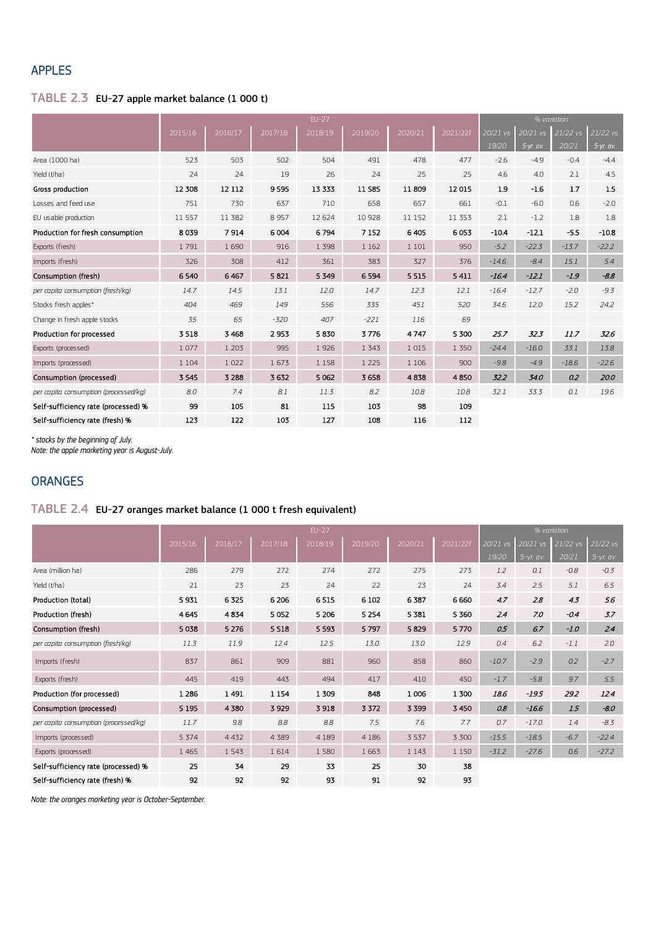## APPLES

# TABLE 2.3 EU-27 apple market balance (1 000 t)

|                                       | $EU-27$ |         |         |         |         |         |          |          | % variation |          |           |
|---------------------------------------|---------|---------|---------|---------|---------|---------|----------|----------|-------------|----------|-----------|
|                                       | 2015/16 | 2016/17 | 2017/18 | 2018/19 | 2019/20 | 2020/21 | 2021/22f | 20/21 vs | 20/21 vs    | 21/22 vs | 21/22 vs  |
|                                       |         |         |         |         |         |         |          | 19/20    | 5-yr. av.   | 20/21    | 5-yr. av. |
| Area (1000 ha)                        | 523     | 503     | 502     | 504     | 491     | 478     | 477      | $-2.6$   | $-4.9$      | $-0.4$   | $-4.4$    |
| Yield (t/ha)                          | 24      | 24      | 19      | 26      | 24      | 25      | 25       | 4.6      | 4.0         | 2.1      | 4.5       |
| Gross production                      | 12 308  | 12 112  | 9595    | 13 333  | 11585   | 11809   | 12015    | 1.9      | $-1.6$      | 1.7      | 1.5       |
| Losses and feed use                   | 751     | 730     | 637     | 710     | 658     | 657     | 661      | $-0.1$   | $-6.0$      | 0.6      | $-2.0$    |
| EU usable production                  | 11 557  | 11 382  | 8 9 5 7 | 12 624  | 10 928  | 11 152  | 11 353   | 2.1      | $-1.2$      | 1.8      | 1.8       |
| Production for fresh consumption      | 8039    | 7914    | 6004    | 6794    | 7 1 5 2 | 6405    | 6053     | $-10.4$  | $-12.1$     | $-5.5$   | $-10.8$   |
| Exports (fresh)                       | 1791    | 1690    | 916     | 1 3 9 8 | 1 1 6 2 | 1 1 0 1 | 950      | $-5.2$   | $-22.3$     | $-13.7$  | $-22.2$   |
| Imports (fresh)                       | 326     | 308     | 412     | 361     | 383     | 327     | 376      | $-14.6$  | $-8.4$      | 15.1     | 5.4       |
| Consumption (fresh)                   | 6540    | 6 4 67  | 5821    | 5 3 4 9 | 6 5 9 4 | 5 5 1 5 | 5 4 1 1  | $-16.4$  | $-12.1$     | $-1.9$   | $-8.8$    |
| per capita consumption (fresh/kg)     | 14.7    | 14.5    | 13.1    | 12.0    | 14.7    | 12.3    | 12.1     | $-16.4$  | $-12.7$     | $-2.0$   | $-9.3$    |
| Stocks fresh apples*                  | 404     | 469     | 149     | 556     | 335     | 451     | 520      | 34.6     | 12.0        | 15.2     | 24.2      |
| Change in fresh apple stocks          | 35      | 65      | $-320$  | 407     | $-221$  | 116     | 69       |          |             |          |           |
| Production for processed              | 3518    | 3 4 6 8 | 2953    | 5830    | 3776    | 4747    | 5 300    | 25.7     | 32.3        | 11.7     | 32.6      |
| Exports (processed)                   | 1077    | 1 2 0 3 | 995     | 1926    | 1 3 4 3 | 1015    | 1 3 5 0  | $-24.4$  | $-16.0$     | 33.1     | 13.8      |
| Imports (processed)                   | 1 1 0 4 | 1 0 2 2 | 1673    | 1 1 5 8 | 1 2 2 5 | 1 1 0 6 | 900      | $-9.8$   | $-4.9$      | $-18.6$  | $-22.6$   |
| Consumption (processed)               | 3 5 4 5 | 3 2 8 8 | 3632    | 5 0 62  | 3 6 5 8 | 4838    | 4850     | 32.2     | 34.0        | 0.2      | 20.0      |
| per capita consumption (processed/kg) | 8.0     | 7.4     | 8.1     | 11.3    | 8.2     | 10.8    | 10.8     | 32.1     | 33.3        | 0.1      | 19.6      |
| Self-sufficiency rate (processed) %   | 99      | 105     | 81      | 115     | 103     | 98      | 109      |          |             |          |           |
| Self-sufficiency rate (fresh) %       | 123     | 122     | 103     | 127     | 108     | 116     | 112      |          |             |          |           |

*\* stocks by the beginning of July.*

*Note: the apple marketing year is August-July.*

# **ORANGES**

# TABLE 2.4 EU-27 oranges market balance (1 000 t fresh equivalent)

|                                       |         |         | % variation |         |         |         |          |          |             |            |             |
|---------------------------------------|---------|---------|-------------|---------|---------|---------|----------|----------|-------------|------------|-------------|
|                                       | 2015/16 | 2016/17 | 2017/18     | 2018/19 | 2019/20 | 2020/21 | 2021/22f | 20/21 vs | 20/21 vs    | $21/22$ vs | 21/22 vs    |
|                                       |         |         |             |         |         |         |          | 19/20    | $5-yr.$ av. | 20/21      | $5-yr.$ av. |
| Area (million ha)                     | 286     | 279     | 272         | 274     | 272     | 275     | 273      | 1.2      | 0.1         | $-0.8$     | $-0.3$      |
| Yield (t/ha)                          | 21      | 23      | 23          | 24      | 22      | 23      | 24       | 3.4      | 2.5         | 5.1        | 6.5         |
| Production (total)                    | 5931    | 6325    | 6 2 0 6     | 6515    | 6 1 0 2 | 6387    | 6660     | 4.7      | 2.8         | 4.3        | 5.6         |
| Production (fresh)                    | 4645    | 4834    | 5052        | 5 2 0 6 | 5 2 5 4 | 5 3 8 1 | 5 3 6 0  | 2.4      | 7.0         | $-0.4$     | 3.7         |
| Consumption (fresh)                   | 5038    | 5 2 7 6 | 5 5 18      | 5 5 9 3 | 5797    | 5829    | 5770     | 0.5      | 6.7         | $-1.0$     | 2.4         |
| per capita consumption (fresh/kg)     | 11.3    | 11.9    | 12.4        | 12.5    | 13.0    | 13.0    | 12.9     | 0.4      | 6.2         | $-1.1$     | 2.0         |
| Imports (fresh)                       | 837     | 861     | 909         | 881     | 960     | 858     | 860      | $-10.7$  | $-2.9$      | 0.2        | $-2.7$      |
| Exports (fresh)                       | 445     | 419     | 443         | 494     | 417     | 410     | 450      | $-1.7$   | $-5.8$      | 9.7        | 5.5         |
| Production (for processed)            | 1 2 8 6 | 1491    | 1 1 5 4     | 1 309   | 848     | 1006    | 1 300    | 18.6     | $-19.5$     | 29.2       | 12.4        |
| Consumption (processed)               | 5 1 9 5 | 4 3 8 0 | 3929        | 3918    | 3 3 7 2 | 3 3 9 9 | 3 4 5 0  | 0.8      | $-16.6$     | 1.5        | $-8.0$      |
| per capita consumption (processed/kg) | 11.7    | 9.8     | 8.8         | 8.8     | 7.5     | 7.6     | 7.7      | 0.7      | $-17.0$     | 1.4        | $-8.3$      |
| Imports (processed)                   | 5 3 7 4 | 4 4 3 2 | 4 3 8 9     | 4 1 8 9 | 4 1 8 6 | 3 5 3 7 | 3 300    | $-15.5$  | $-18.5$     | $-6.7$     | $-22.4$     |
| Exports (processed)                   | 1 4 6 5 | 1 5 4 3 | 1614        | 1580    | 1663    | 1 1 4 3 | 1 1 5 0  | $-31.2$  | $-27.6$     | 0.6        | $-27.2$     |
| Self-sufficiency rate (processed) %   | 25      | 34      | 29          | 33      | 25      | 30      | 38       |          |             |            |             |
| Self-sufficiency rate (fresh) %       | 92      | 92      | 92          | 93      | 91      | 92      | 93       |          |             |            |             |

*Note: the oranges marketing year is October-September.*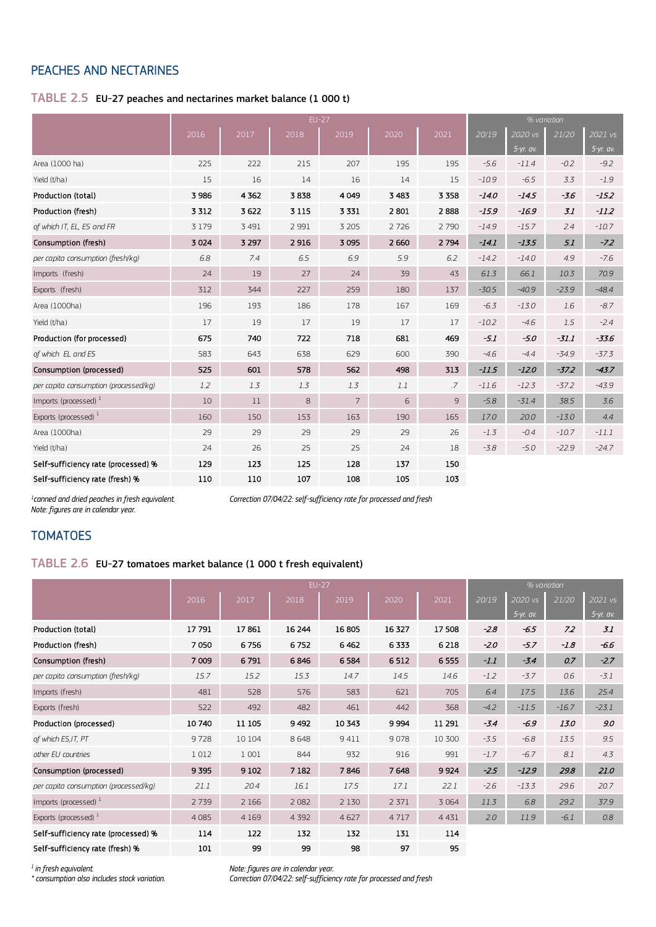## PEACHES AND NECTARINES

## TABLE 2.5 EU-27 peaches and nectarines market balance (1 000 t)

|                                       | $EU-27$ |         |         |                |         |         |         |           | % variation |             |
|---------------------------------------|---------|---------|---------|----------------|---------|---------|---------|-----------|-------------|-------------|
|                                       | 2016    | 2017    | 2018    | 2019           | 2020    | 2021    | 20/19   | 2020 vs   | 21/20       | 2021 vs     |
|                                       |         |         |         |                |         |         |         | 5-yr. av. |             | $5-yr.$ av. |
| Area (1000 ha)                        | 225     | 222     | 215     | 207            | 195     | 195     | $-5.6$  | $-11.4$   | $-0.2$      | $-9.2$      |
| Yield (t/ha)                          | 15      | 16      | 14      | 16             | 14      | 15      | $-10.9$ | $-6.5$    | 3.3         | $-1.9$      |
| Production (total)                    | 3 9 8 6 | 4 3 6 2 | 3838    | 4049           | 3 4 8 3 | 3 3 5 8 | $-14.0$ | $-14.5$   | $-3.6$      | $-15.2$     |
| Production (fresh)                    | 3 3 1 2 | 3622    | 3 1 1 5 | 3 3 3 1        | 2801    | 2888    | $-15.9$ | $-16.9$   | 3.1         | $-11.2$     |
| of which IT, EL, ES and FR            | 3 1 7 9 | 3 4 9 1 | 2 9 9 1 | 3 2 0 5        | 2726    | 2 7 9 0 | $-14.9$ | $-15.7$   | 2.4         | $-10.7$     |
| Consumption (fresh)                   | 3 0 24  | 3 2 9 7 | 2916    | 3 0 9 5        | 2 6 6 0 | 2794    | $-14.1$ | $-13.5$   | 5.1         | $-7.2$      |
| per capita consumption (fresh/kg)     | 6.8     | 7.4     | 6.5     | 6.9            | 5.9     | 6.2     | $-14.2$ | $-14.0$   | 4.9         | $-7.6$      |
| Imports (fresh)                       | 24      | 19      | 27      | 24             | 39      | 43      | 61.3    | 66.1      | 10.3        | 70.9        |
| Exports (fresh)                       | 312     | 344     | 227     | 259            | 180     | 137     | $-30.5$ | $-40.9$   | $-23.9$     | $-48.4$     |
| Area (1000ha)                         | 196     | 193     | 186     | 178            | 167     | 169     | $-6.3$  | $-13.0$   | 1.6         | $-8.7$      |
| Yield (t/ha)                          | 17      | 19      | 17      | 19             | 17      | 17      | $-10.2$ | $-4.6$    | 1.5         | $-2.4$      |
| Production (for processed)            | 675     | 740     | 722     | 718            | 681     | 469     | $-5.1$  | $-5.0$    | $-31.1$     | $-33.6$     |
| of which EL and ES                    | 583     | 643     | 638     | 629            | 600     | 390     | $-4.6$  | $-4.4$    | $-34.9$     | $-37.3$     |
| Consumption (processed)               | 525     | 601     | 578     | 562            | 498     | 313     | $-11.5$ | $-12.0$   | $-37.2$     | $-43.7$     |
| per capita consumption (processed/kg) | 1.2     | 1.3     | 1.3     | 1.3            | 1.1     | .7      | $-11.6$ | $-12.3$   | $-37.2$     | $-43.9$     |
| Imports (processed) $1$               | 10      | 11      | 8       | $\overline{7}$ | 6       | 9       | $-5.8$  | $-31.4$   | 38.5        | 3.6         |
| Exports (processed) <sup>1</sup>      | 160     | 150     | 153     | 163            | 190     | 165     | 17.0    | 20.0      | $-13.0$     | 4.4         |
| Area (1000ha)                         | 29      | 29      | 29      | 29             | 29      | 26      | $-1.3$  | $-0.4$    | $-10.7$     | $-11.1$     |
| Yield (t/ha)                          | 24      | 26      | 25      | 25             | 24      | 18      | $-3.8$  | $-5.0$    | $-22.9$     | $-24.7$     |
| Self-sufficiency rate (processed) %   | 129     | 123     | 125     | 128            | 137     | 150     |         |           |             |             |
| Self-sufficiency rate (fresh) %       | 110     | 110     | 107     | 108            | 105     | 103     |         |           |             |             |

*1 Note: figures are in calendar year.* *canned and dried peaches in fresh equivalent. Correction 07/04/22: self-sufficiency rate for processed and fresh*

#### **TOMATOES**

#### TABLE 2.6 EU-27 tomatoes market balance (1 000 t fresh equivalent)

|                                       |         |         | $EU-27$ |         | % variation |         |        |             |         |             |
|---------------------------------------|---------|---------|---------|---------|-------------|---------|--------|-------------|---------|-------------|
|                                       | 2016    | 2017    | 2018    | 2019    | 2020        | 2021    | 20/19  | 2020 vs     | 21/20   | 2021 vs     |
|                                       |         |         |         |         |             |         |        | $5-yr.$ av. |         | $5-yr.$ av. |
| Production (total)                    | 17791   | 17861   | 16 244  | 16805   | 16 327      | 17508   | $-2.8$ | $-6.5$      | 7.2     | 3.1         |
| Production (fresh)                    | 7050    | 6756    | 6752    | 6462    | 6333        | 6 2 18  | $-2.0$ | $-5.7$      | $-1.8$  | $-6.6$      |
| Consumption (fresh)                   | 7 0 0 9 | 6791    | 6846    | 6584    | 6512        | 6555    | $-1.1$ | $-3.4$      | 0.7     | $-2.7$      |
| per capita consumption (fresh/kg)     | 15.7    | 15.2    | 15.3    | 14.7    | 14.5        | 14.6    | $-1.2$ | $-3.7$      | 0.6     | $-3.1$      |
| Imports (fresh)                       | 481     | 528     | 576     | 583     | 621         | 705     | 6.4    | 17.5        | 13.6    | 25.4        |
| Exports (fresh)                       | 522     | 492     | 482     | 461     | 442         | 368     | $-4.2$ | $-11.5$     | $-16.7$ | $-23.1$     |
| Production (processed)                | 10740   | 11 105  | 9492    | 10 343  | 9994        | 11 291  | $-3.4$ | $-6.9$      | 13.0    | 9.0         |
| of which ES, IT, PT                   | 9728    | 10 104  | 8648    | 9411    | 9078        | 10 300  | $-3.5$ | $-6.8$      | 13.5    | 9.5         |
| other EU countries                    | 1012    | 1 0 0 1 | 844     | 932     | 916         | 991     | $-1.7$ | $-6.7$      | 8.1     | 4.3         |
| Consumption (processed)               | 9395    | 9 1 0 2 | 7 1 8 2 | 7846    | 7648        | 9924    | $-2.5$ | $-12.9$     | 29.8    | 21.0        |
| per capita consumption (processed/kg) | 21.1    | 20.4    | 16.1    | 17.5    | 17.1        | 22.1    | $-2.6$ | $-13.3$     | 29.6    | 20.7        |
| Imports (processed) $1$               | 2739    | 2 1 6 6 | 2 0 8 2 | 2 1 3 0 | 2 3 7 1     | 3 0 6 4 | 11.3   | 6.8         | 29.2    | 37.9        |
| Exports (processed) $1$               | 4 0 8 5 | 4 1 6 9 | 4 3 9 2 | 4627    | 4717        | 4 4 3 1 | 2.0    | 11.9        | $-6.1$  | 0.8         |
| Self-sufficiency rate (processed) %   | 114     | 122     | 132     | 132     | 131         | 114     |        |             |         |             |
| Self-sufficiency rate (fresh) %       | 101     | 99      | 99      | 98      | 97          | 95      |        |             |         |             |

*1 in fresh equivalent. Note: figures are in calendar year. \* consumption also includes stock variation. Correction 07/04/22: self-sufficiency rate for processed and fresh*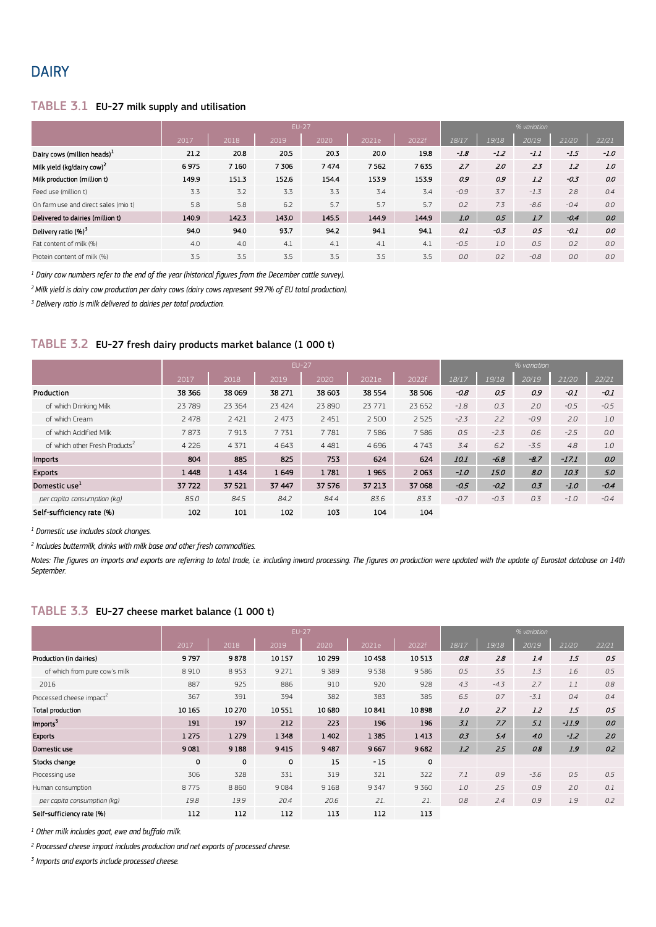# **DAIRY**

#### TABLE 3.1 EU-27 milk supply and utilisation

|                                         |       |       |       | $EU-27$ |       | % variation |        |        |        |        |        |
|-----------------------------------------|-------|-------|-------|---------|-------|-------------|--------|--------|--------|--------|--------|
|                                         | 2017  | 2018  | 2019  | 2020    | 2021e | 2022f       | 18/17  | 19/18  | 20/19  | 21/20  | 22/21  |
| Dairy cows (million heads) <sup>1</sup> | 21.2  | 20.8  | 20.5  | 20.3    | 20.0  | 19.8        | $-1.8$ | $-1.2$ | $-1.1$ | $-1.5$ | $-1.0$ |
| Milk yield (kg/dairy cow) <sup>2</sup>  | 6975  | 7160  | 7306  | 7474    | 7562  | 7635        | 2.7    | 2.0    | 2.3    | 1.2    | 1.0    |
| Milk production (million t)             | 149.9 | 151.3 | 152.6 | 154.4   | 153.9 | 153.9       | 0.9    | 0.9    | 1.2    | $-0.3$ | 0.0    |
| Feed use (million t)                    | 3.3   | 3.2   | 3.3   | 3.3     | 3.4   | 3.4         | $-0.9$ | 3.7    | $-1.3$ | 2.8    | 0.4    |
| On farm use and direct sales (mio t)    | 5.8   | 5.8   | 6.2   | 5.7     | 5.7   | 5.7         | 0.2    | 7.3    | $-8.6$ | $-0.4$ | 0.0    |
| Delivered to dairies (million t)        | 140.9 | 142.3 | 1430  | 145.5   | 1449  | 144.9       | 1.0    | 0.5    | 1.7    | $-0.4$ | 0.0    |
| Delivery ratio (%) <sup>3</sup>         | 94.0  | 94.0  | 93.7  | 94.2    | 94.1  | 94.1        | 0.1    | $-0.3$ | 0.5    | $-0.1$ | 0.0    |
| Fat content of milk (%)                 | 4.0   | 4.0   | 4.1   | 4.1     | 4.1   | 4.1         | $-0.5$ | 1.0    | 0.5    | 0.2    | 0.0    |
| Protein content of milk (%)             | 3.5   | 3.5   | 3.5   | 3.5     | 3.5   | 3.5         | 0.0    | 0.2    | $-0.8$ | 0.0    | 0.0    |

*<sup>1</sup> Dairy cow numbers refer to the end of the year (historical figures from the December cattle survey).*

*2 Milk yield is dairy cow production per dairy cows (dairy cows represent 99.7% of EU total production).*

*<sup>3</sup> Delivery ratio is milk delivered to dairies per total production.*

#### TABLE 3.2 EU-27 fresh dairy products market balance (1 000 t)

|                                            |         |         | $EU-27$ |          | % variation |         |             |        |        |         |        |
|--------------------------------------------|---------|---------|---------|----------|-------------|---------|-------------|--------|--------|---------|--------|
|                                            | 2017    | 2018    | 2019    | 2020     | 2021e       | 2022f   | 18/17       | 19/18  | 20/19  | 21/20   | 22/21  |
| Production                                 | 38 3 66 | 38 069  | 38 271  | 38 603   | 38 554      | 38 506  | $-0.8$      | 0.5    | 0.9    | $-0.1$  | $-0.1$ |
| of which Drinking Milk                     | 23 7 89 | 23 3 64 | 23 4 24 | 23 8 9 0 | 23 771      | 23 652  | $-1.8$      | 0.3    | 2.0    | $-0.5$  | $-0.5$ |
| of which Cream                             | 2 4 7 8 | 2 4 2 1 | 2 4 7 3 | 2 4 5 1  | 2 5 0 0     | 2 5 2 5 | $-2.3$      | 2.2    | $-0.9$ | 2.0     | 1.0    |
| of which Acidified Milk                    | 7873    | 7913    | 7731    | 7781     | 7 5 8 6     | 7 5 8 6 | 0.5         | $-2.3$ | 0.6    | $-2.5$  | 0.0    |
| of which other Fresh Products <sup>2</sup> | 4 2 2 6 | 4 3 7 1 | 4643    | 4 4 8 1  | 4696        | 4743    | 3.4         | 6.2    | $-3.5$ | 4.8     | 1.0    |
| <b>Imports</b>                             | 804     | 885     | 825     | 753      | 624         | 624     | <i>10.1</i> | $-6.8$ | $-8.7$ | $-17.1$ | 0.0    |
| <b>Exports</b>                             | 1448    | 1434    | 1649    | 1781     | 1965        | 2063    | $-1.0$      | 15.0   | 8.0    | 10.3    | 5.0    |
| Domestic use <sup>1</sup>                  | 37 722  | 37 521  | 37 447  | 37 57 6  | 37 213      | 37 068  | $-0.5$      | $-0.2$ | 0.3    | $-1.0$  | $-0.4$ |
| per capita consumption (kg)                | 85.0    | 84.5    | 84.2    | 84.4     | 83.6        | 83.3    | $-0.7$      | $-0.3$ | 0.3    | $-1.0$  | $-0.4$ |
| Self-sufficiency rate (%)                  | 102     | 101     | 102     | 103      | 104         | 104     |             |        |        |         |        |

*<sup>1</sup> Domestic use includes stock changes.*

*<sup>2</sup> Includes buttermilk, drinks with milk base and other fresh commodities.*

Notes: The figures on imports and exports are referring to total trade, i.e. including inward processing. The figures on production were updated with the update of Eurostat database on 14th *September.*

#### TABLE 3.3 EU-27 cheese market balance (1 000 t)

|                               |         |         |         |         | % variation |             |       |        |        |         |       |
|-------------------------------|---------|---------|---------|---------|-------------|-------------|-------|--------|--------|---------|-------|
|                               | 2017    | 2018    | 2019    | 2020    | 2021e       | 2022f       | 18/17 | 19/18  | 20/19  | 21/20   | 22/21 |
| Production (in dairies)       | 9797    | 9878    | 10 157  | 10 299  | 10458       | 10513       | 0.8   | 2.8    | 1.4    | 1.5     | 0.5   |
| of which from pure cow's milk | 8910    | 8953    | 9 2 7 1 | 9389    | 9538        | 9586        | 0.5   | 3.5    | 1.3    | 1.6     | 0.5   |
| 2016                          | 887     | 925     | 886     | 910     | 920         | 928         | 4.3   | $-4.3$ | 2.7    | 1.1     | 0.8   |
| Processed cheese impact       | 367     | 391     | 394     | 382     | 383         | 385         | 6.5   | 0.7    | $-3.1$ | 0.4     | 0.4   |
| Total production              | 10 165  | 10 270  | 10551   | 10 680  | 10841       | 10898       | 1.0   | 2.7    | 1.2    | 1.5     | 0.5   |
| Imports <sup>3</sup>          | 191     | 197     | 212     | 223     | 196         | 196         | 3.1   | 7.7    | 5.1    | $-11.9$ | 0.0   |
| <b>Exports</b>                | 1 2 7 5 | 1 2 7 9 | 1348    | 1 4 0 2 | 1 3 8 5     | 1413        | 0.3   | 5.4    | 4.0    | $-1.2$  | 2.0   |
| Domestic use                  | 9081    | 9188    | 9415    | 9487    | 9667        | 9682        | 1.2   | 2.5    | 0.8    | 1.9     | 0.2   |
| Stocks change                 | 0       | 0       | $\circ$ | 15      | $-15$       | $\mathbf 0$ |       |        |        |         |       |
| Processing use                | 306     | 328     | 331     | 319     | 321         | 322         | 7.1   | 0.9    | $-3.6$ | 0.5     | 0.5   |
| Human consumption             | 8775    | 8860    | 9084    | 9168    | 9 3 4 7     | 9360        | 1.0   | 2.5    | 0.9    | 2.0     | 0.1   |
| per capita consumption (kg)   | 19.8    | 19.9    | 20.4    | 20.6    | 21.         | 21.         | 0.8   | 2.4    | 0.9    | 1.9     | 0.2   |
| Self-sufficiency rate (%)     | 112     | 112     | 112     | 113     | 112         | 113         |       |        |        |         |       |

*<sup>1</sup> Other milk includes goat, ewe and buffalo milk.*

*<sup>2</sup> Processed cheese impact includes production and net exports of processed cheese.*

*<sup>3</sup> Imports and exports include processed cheese.*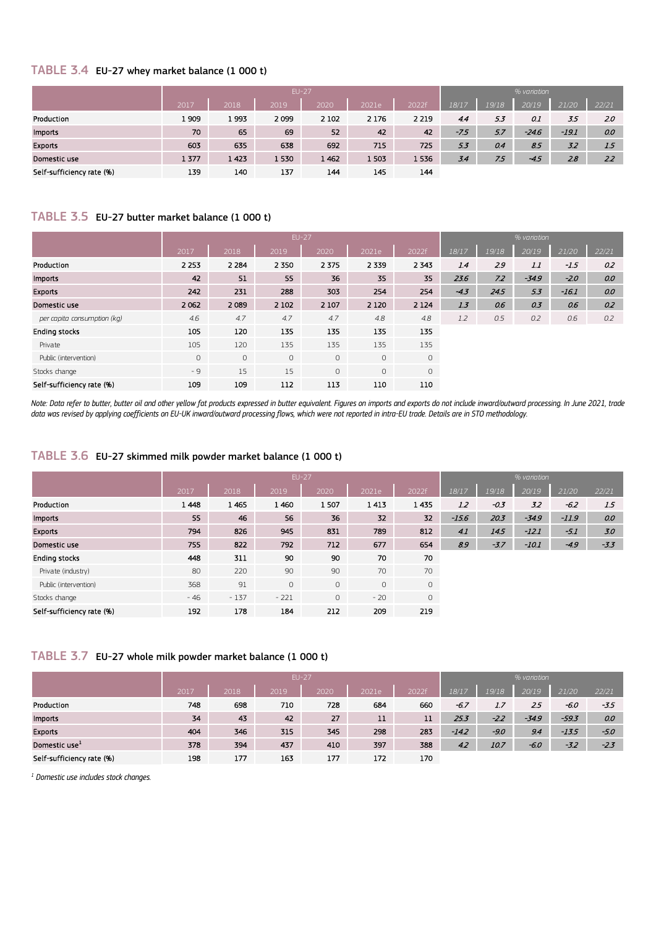#### TABLE 3.4 EU-27 whey market balance (1 000 t)

|                           |      | EU-27 |      |         |         |         |        |       | % variation |         |       |  |  |
|---------------------------|------|-------|------|---------|---------|---------|--------|-------|-------------|---------|-------|--|--|
|                           | 2017 | 2018  | 2019 | 2020    | 2021e   | 2022f   | 18/17  | 19/18 | 20/19       | 21/20   | 22/21 |  |  |
| Production                | 1909 | 1993  | 2099 | 2 1 0 2 | 2 1 7 6 | 2 2 1 9 | 4.4    | 5.3   | 0.1         | 3.5     | 2.0   |  |  |
| <b>Imports</b>            | 70   | 65    | 69   | 52      | 42      | 42      | $-7.5$ | 5.7   | $-24.6$     | $-19.1$ | 0.0   |  |  |
| Exports                   | 603  | 635   | 638  | 692     | 715     | 725     | 5.3    | 0.4   | 8.5         | 3.2     | 1.5   |  |  |
| Domestic use              | 1377 | 1423  | 1530 | 1 4 6 2 | 1503    | 1536    | 3.4    | 7.5   | $-4.5$      | 2.8     | 2.2   |  |  |
| Self-sufficiency rate (%) | 139  | 140   | 137  | 144     | 145     | 144     |        |       |             |         |       |  |  |

## TABLE 3.5 EU-27 butter market balance (1 000 t)

|                             |         | <b>EU-27</b> |         |         |              |             |        |       | % variation |         |       |
|-----------------------------|---------|--------------|---------|---------|--------------|-------------|--------|-------|-------------|---------|-------|
|                             | 2017    | 2018         | 2019    | 2020    | 2021e        | 2022f       | 18/17  | 19/18 | 20/19       | 21/20   | 22/21 |
| Production                  | 2 2 5 3 | 2 2 8 4      | 2 3 5 0 | 2 3 7 5 | 2 3 3 9      | 2 3 4 3     | 1.4    | 2.9   | 1.1         | $-1.5$  | 0.2   |
| <b>Imports</b>              | 42      | 51           | 55      | 36      | 35           | 35          | 23.6   | 7.2   | $-34.9$     | $-2.0$  | 0.0   |
| <b>Exports</b>              | 242     | 231          | 288     | 303     | 254          | 254         | $-4.3$ | 24.5  | 5.3         | $-16.1$ | 0.0   |
| Domestic use                | 2 0 6 2 | 2089         | 2 1 0 2 | 2 1 0 7 | 2 1 2 0      | 2 1 2 4     | 1.3    | 0.6   | 0.3         | 0.6     | 0.2   |
| per capita consumption (kg) | 4.6     | 4.7          | 4.7     | 4.7     | 4.8          | 4.8         | 1.2    | 0.5   | 0.2         | 0.6     | 0.2   |
| Ending stocks               | 105     | 120          | 135     | 135     | 135          | 135         |        |       |             |         |       |
| Private                     | 105     | 120          | 135     | 135     | 135          | 135         |        |       |             |         |       |
| Public (intervention)       | $\circ$ | $\circ$      | $\circ$ | $\circ$ | $\circ$      | $\mathsf O$ |        |       |             |         |       |
| Stocks change               | $-9$    | 15           | 15      | $\circ$ | $\mathbf{0}$ | 0           |        |       |             |         |       |
| Self-sufficiency rate (%)   | 109     | 109          | 112     | 113     | 110          | 110         |        |       |             |         |       |

*Note: Data refer to butter, butter oil and other yellow fat products expressed in butter equivalent. Figures on imports and exports do not include inward/outward processing. In June 2021, trade data was revised by applying coefficients on EU-UK inward/outward processing flows, which were not reported in intra-EU trade. Details are in STO methodology.*

#### TABLE 3.6 EU-27 skimmed milk powder market balance (1 000 t)

|                           |         | <b>EU-27</b> |         |         |         |                     |         | % variation |         |         |        |  |
|---------------------------|---------|--------------|---------|---------|---------|---------------------|---------|-------------|---------|---------|--------|--|
|                           | 2017    | 2018         | 2019    | 2020    | 2021e   | 2022f               | 18/17   | 19/18       | 20/19   | 21/20   | 22/21  |  |
| Production                | 1 4 4 8 | 1465         | 1460    | 1507    | 1413    | 1435                | 1.2     | $-0.3$      | 3.2     | $-6.2$  | 1.5    |  |
| <b>Imports</b>            | 55      | 46           | 56      | 36      | 32      | 32                  | $-15.6$ | 20.3        | $-34.9$ | $-11.9$ | 0.0    |  |
| <b>Exports</b>            | 794     | 826          | 945     | 831     | 789     | 812                 | 41      | 14.5        | $-12.1$ | $-5.1$  | 3.0    |  |
| Domestic use              | 755     | 822          | 792     | 712     | 677     | 654                 | 8.9     | $-3.7$      | $-10.1$ | $-4.9$  | $-3.3$ |  |
| <b>Ending stocks</b>      | 448     | 311          | 90      | 90      | 70      | 70                  |         |             |         |         |        |  |
| Private (industry)        | 80      | 220          | 90      | 90      | 70      | 70                  |         |             |         |         |        |  |
| Public (intervention)     | 368     | 91           | $\circ$ | $\circ$ | $\circ$ | $\circ$             |         |             |         |         |        |  |
| Stocks change             | $-46$   | $-137$       | $-221$  | $\circ$ | $-20$   | $\mathsf{O}\xspace$ |         |             |         |         |        |  |
| Self-sufficiency rate (%) | 192     | 178          | 184     | 212     | 209     | 219                 |         |             |         |         |        |  |

#### TABLE 3.7 EU-27 whole milk powder market balance (1 000 t)

|                           |      |      | $EU-27$ | % variation |       |       |         |        |        |         |        |
|---------------------------|------|------|---------|-------------|-------|-------|---------|--------|--------|---------|--------|
|                           | 2017 | 2018 | 2019    | 2020        | 2021e | 2022f | 18/17   | 19/18  | 20/19  | 21/20   | 22/21  |
| Production                | 748  | 698  | 710     | 728         | 684   | 660   | -6.7    | 1.7    | 2.5    | -6.0    | $-3.5$ |
| <b>Imports</b>            | 34   | 43   | 42      | 27          | 11    | 11    | 25.3    | $-2.2$ | -34.9  | $-59.3$ | 0.0    |
| <b>Exports</b>            | 404  | 346  | 315     | 345         | 298   | 283   | $-14.2$ | $-9.0$ | 9.4    | $-13.5$ | -5.0   |
| Domestic use <sup>1</sup> | 378  | 394  | 437     | 410         | 397   | 388   | 4.2     | 10.7   | $-6.0$ | $-3.2$  | $-2.3$ |
| Self-sufficiency rate (%) | 198  | 177  | 163     | 177         | 172   | 170   |         |        |        |         |        |

*<sup>1</sup> Domestic use includes stock changes.*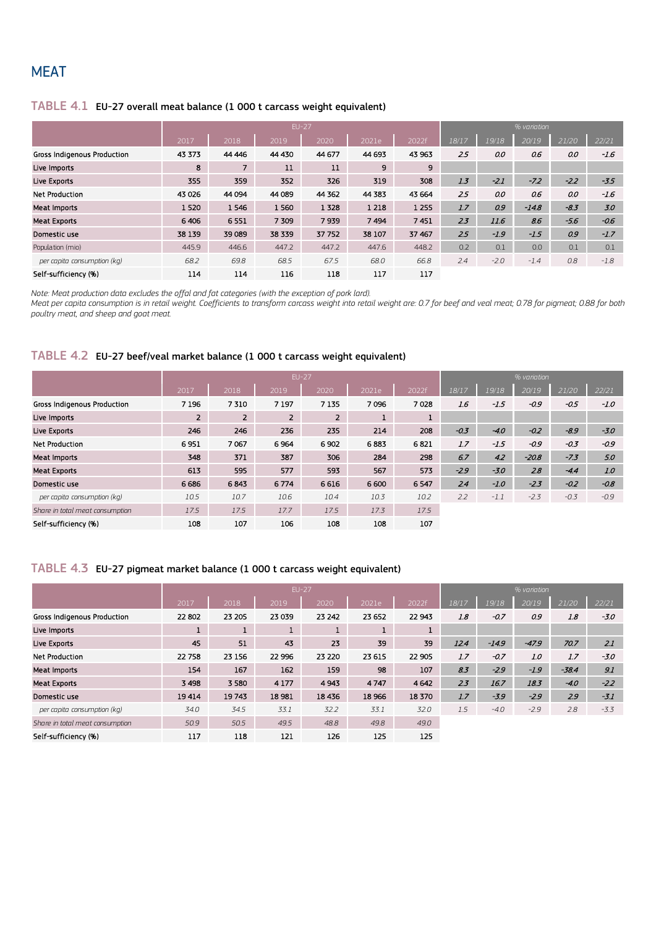# **MEAT**

#### TABLE 4.1 EU-27 overall meat balance (1 000 t carcass weight equivalent)

|                             |         |                | <b>EU-27</b> |         |         | % variation |       |        |         |        |        |  |  |
|-----------------------------|---------|----------------|--------------|---------|---------|-------------|-------|--------|---------|--------|--------|--|--|
|                             | 2017    | 2018           | 2019         | 2020    | 2021e   | 2022f       | 18/17 | 19/18  | 20/19   | 21/20  | 22/21  |  |  |
| Gross Indigenous Production | 43 373  | 44 4 4 4 6     | 44 430       | 44 677  | 44 6 93 | 43 963      | 25    | 0.0    | 0.6     | 0.0    | $-1.6$ |  |  |
| Live Imports                | 8       | $\overline{7}$ | 11           | 11      | 9       | 9           |       |        |         |        |        |  |  |
| Live Exports                | 355     | 359            | 352          | 326     | 319     | 308         | 1.3   | $-2.1$ | $-7.2$  | $-2.2$ | $-3.5$ |  |  |
| <b>Net Production</b>       | 43 0 26 | 44 094         | 44 089       | 44 3 62 | 44 3 83 | 43 6 64     | 25    | 0.0    | 06      | 0.0    | $-1.6$ |  |  |
| Meat Imports                | 1520    | 1546           | 1560         | 1 3 2 8 | 1 2 1 8 | 1 2 5 5     | 1.7   | 0.9    | $-14.8$ | $-8.3$ | 3.0    |  |  |
| <b>Meat Exports</b>         | 6406    | 6551           | 7 309        | 7939    | 7494    | 7451        | 2.3   | 11.6   | 8.6     | $-5.6$ | $-0.6$ |  |  |
| Domestic use                | 38 139  | 39 089         | 38 339       | 37 752  | 38 107  | 37 467      | 2.5   | $-1.9$ | $-1.5$  | 0.9    | $-1.7$ |  |  |
| Population (mio)            | 445.9   | 446.6          | 447.2        | 447.2   | 447.6   | 448.2       | 0.2   | 0.1    | 0.0     | 0.1    | 0.1    |  |  |
| per capita consumption (kg) | 68.2    | 69.8           | 68.5         | 67.5    | 68.0    | 66.8        | 2.4   | $-2.0$ | $-1.4$  | 0.8    | $-1.8$ |  |  |
| Self-sufficiency (%)        | 114     | 114            | 116          | 118     | 117     | 117         |       |        |         |        |        |  |  |

*Note: Meat production data excludes the offal and fat categories (with the exception of pork lard).*

*Meat per capita consumption is in retail weight. Coefficients to transform carcass weight into retail weight are: 0.7 for beef and veal meat; 0.78 for pigmeat; 0.88 for both poultry meat, and sheep and goat meat.*

#### TABLE 4.2 EU-27 beef/veal market balance (1 000 t carcass weight equivalent)

|                                 |                |                | <b>EU-27</b>   | % variation    |       |              |        |        |         |        |        |
|---------------------------------|----------------|----------------|----------------|----------------|-------|--------------|--------|--------|---------|--------|--------|
|                                 | 2017           | 2018           | 2019           | 2020           | 2021e | 2022f        | 18/17  | 19/18  | 20/19   | 21/20  | 22/21  |
| Gross Indigenous Production     | 7 1 9 6        | 7310           | 7 1 9 7        | 7 1 3 5        | 7096  | 7028         | 1.6    | $-1.5$ | $-0.9$  | $-0.5$ | $-1.0$ |
| Live Imports                    | $\overline{2}$ | $\overline{2}$ | $\overline{2}$ | $\overline{2}$ | J.    | $\mathbf{1}$ |        |        |         |        |        |
| Live Exports                    | 246            | 246            | 236            | 235            | 214   | 208          | $-0.3$ | $-4.0$ | $-0.2$  | $-8.9$ | $-3.0$ |
| <b>Net Production</b>           | 6951           | 7067           | 6964           | 6902           | 6883  | 6821         | 1.7    | $-1.5$ | $-0.9$  | $-0.3$ | $-0.9$ |
| <b>Meat Imports</b>             | 348            | 371            | 387            | 306            | 284   | 298          | 6.7    | 4.2    | $-20.8$ | $-7.3$ | 5.0    |
| <b>Meat Exports</b>             | 613            | 595            | 577            | 593            | 567   | 573          | $-2.9$ | $-3.0$ | 2.8     | $-4.4$ | 1.0    |
| Domestic use                    | 6 6 8 6        | 6843           | 6774           | 6 6 1 6        | 6 600 | 6 5 4 7      | 2.4    | $-1.0$ | $-2.3$  | $-0.2$ | $-0.8$ |
| per capita consumption (kg)     | 10.5           | 10.7           | 10.6           | 10.4           | 10.3  | 10.2         | 2.2    | $-1.1$ | $-2.3$  | $-0.3$ | $-0.9$ |
| Share in total meat consumption | 17.5           | 17.5           | 17.7           | 17.5           | 17.3  | 17.5         |        |        |         |        |        |
| Self-sufficiency (%)            | 108            | 107            | 106            | 108            | 108   | 107          |        |        |         |        |        |

#### TABLE 4.3 EU-27 pigmeat market balance (1 000 t carcass weight equivalent)

|                                 |         |              | $EU-27$ | % variation  |         |        |       |         |         |         |        |
|---------------------------------|---------|--------------|---------|--------------|---------|--------|-------|---------|---------|---------|--------|
|                                 | 2017    | 2018         | 2019    | 2020         | 2021e   | 2022f  | 18/17 | 19/18   | 20/19   | 21/20   | 22/21  |
| Gross Indigenous Production     | 22 802  | 23 205       | 23 039  | 23 242       | 23 652  | 22 943 | 1.8   | $-0.7$  | 0.9     | 1.8     | $-3.0$ |
| Live Imports                    | л.      | $\mathbf{1}$ | 1       | $\mathbf{1}$ | 1       | J.     |       |         |         |         |        |
| Live Exports                    | 45      | 51           | 43      | 23           | 39      | 39     | 12.4  | $-14.9$ | $-47.9$ | 70.7    | 2.1    |
| <b>Net Production</b>           | 22 758  | 23 156       | 22 996  | 23 2 20      | 23 615  | 22 905 | 1.7   | $-0.7$  | 1.0     | 1.7     | $-3.0$ |
| Meat Imports                    | 154     | 167          | 162     | 159          | 98      | 107    | 8.3   | $-2.9$  | $-1.9$  | $-38.4$ | 9.1    |
| <b>Meat Exports</b>             | 3 4 9 8 | 3 5 8 0      | 4 1 7 7 | 4 9 4 3      | 4747    | 4 6 42 | 2.3   | 16.7    | 183     | $-4.0$  | $-2.2$ |
| Domestic use                    | 19414   | 19743        | 18 981  | 18 4 36      | 18 9 66 | 18 370 | 1.7   | $-3.9$  | $-2.9$  | 2.9     | $-3.1$ |
| per capita consumption (kg)     | 34.0    | 34.5         | 33.1    | 32.2         | 33.1    | 32.0   | 1.5   | $-4.0$  | $-2.9$  | 2.8     | $-3.3$ |
| Share in total meat consumption | 50.9    | 50.5         | 49.5    | 48.8         | 49.8    | 49.0   |       |         |         |         |        |
| Self-sufficiency (%)            | 117     | 118          | 121     | 126          | 125     | 125    |       |         |         |         |        |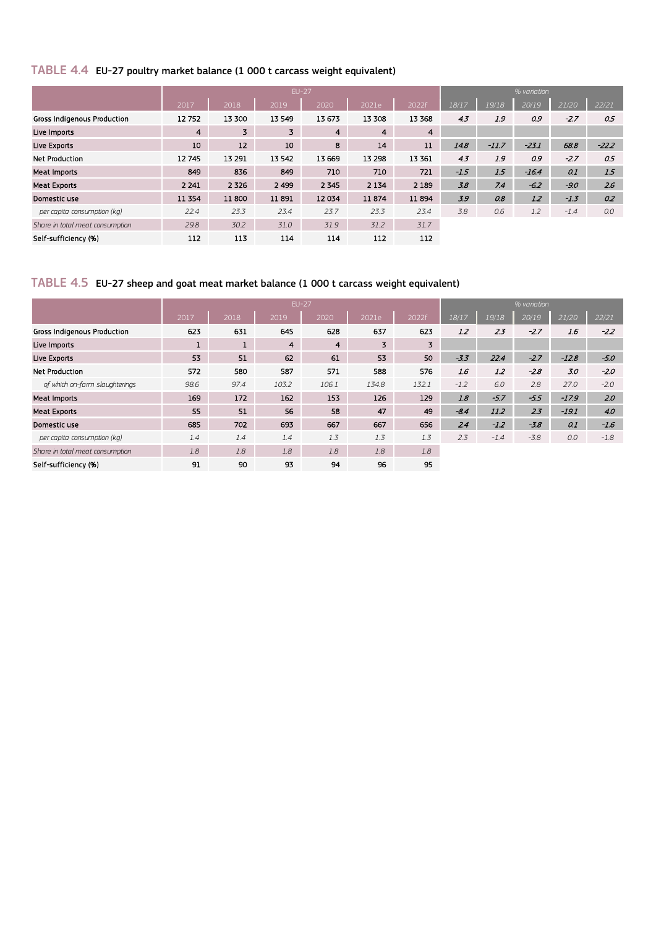# TABLE 4.4 EU-27 poultry market balance (1 000 t carcass weight equivalent)

|                                 |                |         | <b>EU-27</b> |                |         |         | % variation |         |         |        |         |  |  |  |
|---------------------------------|----------------|---------|--------------|----------------|---------|---------|-------------|---------|---------|--------|---------|--|--|--|
|                                 | 2017           | 2018    | 2019         | 2020           | 2021e   | 2022f   | 18/17       | 19/18   | 20/19   | 21/20  | 22/21   |  |  |  |
| Gross Indigenous Production     | 12752          | 13 300  | 13 5 49      | 13673          | 13 308  | 13 3 68 | 4.3         | 1.9     | 0.9     | $-2.7$ | 0.5     |  |  |  |
| Live Imports                    | $\overline{4}$ | 3       | 3            | $\overline{4}$ | 4       | 4       |             |         |         |        |         |  |  |  |
| Live Exports                    | 10             | 12      | 10           | 8              | 14      | 11      | 14.8        | $-11.7$ | $-23.1$ | 68.8   | $-22.2$ |  |  |  |
| <b>Net Production</b>           | 12745          | 13 291  | 13542        | 13 6 69        | 13 298  | 13 3 61 | 4.3         | 1.9     | 0.9     | $-2.7$ | 0.5     |  |  |  |
| Meat Imports                    | 849            | 836     | 849          | 710            | 710     | 721     | $-1.5$      | 1.5     | $-16.4$ | 0.1    | 1.5     |  |  |  |
| <b>Meat Exports</b>             | 2 2 4 1        | 2 3 2 6 | 2 4 9 9      | 2 3 4 5        | 2 1 3 4 | 2 1 8 9 | 3.8         | 7.4     | $-6.2$  | $-9.0$ | 2.6     |  |  |  |
| Domestic use                    | 11 3 54        | 11800   | 11891        | 12034          | 11874   | 11894   | 3.9         | 0.8     | 1.2     | $-1.3$ | 0.2     |  |  |  |
| per capita consumption (kg)     | 22.4           | 23.3    | 23.4         | 23.7           | 23.3    | 23.4    | 3.8         | 0.6     | 1.2     | $-1.4$ | 0.0     |  |  |  |
| Share in total meat consumption | 29.8           | 30.2    | 31.0         | 31.9           | 31.2    | 31.7    |             |         |         |        |         |  |  |  |
| Self-sufficiency (%)            | 112            | 113     | 114          | 114            | 112     | 112     |             |         |         |        |         |  |  |  |

# TABLE 4.5 EU-27 sheep and goat meat market balance (1 000 t carcass weight equivalent)

|                                 |      |      |                | <b>EU-27</b>   |       | % variation |        |        |        |         |        |  |
|---------------------------------|------|------|----------------|----------------|-------|-------------|--------|--------|--------|---------|--------|--|
|                                 | 2017 | 2018 | 2019           | 2020           | 2021e | 2022f       | 18/17  | 19/18  | 20/19  | 21/20   | 22/21  |  |
| Gross Indigenous Production     | 623  | 631  | 645            | 628            | 637   | 623         | 1.2    | 2.3    | $-2.7$ | 1.6     | $-2.2$ |  |
| Live Imports                    |      |      | $\overline{4}$ | $\overline{4}$ | 3     | 3           |        |        |        |         |        |  |
| Live Exports                    | 53   | 51   | 62             | 61             | 53    | 50          | $-3.5$ | 22.4   | $-2.7$ | $-12.8$ | $-5.0$ |  |
| <b>Net Production</b>           | 572  | 580  | 587            | 571            | 588   | 576         | 1.6    | 1.2    | $-2.8$ | 3.0     | $-2.0$ |  |
| of which on-farm slaughterings  | 98.6 | 97.4 | 103.2          | 106.1          | 134.8 | 132.1       | $-1.2$ | 6.0    | 2.8    | 27.0    | $-2.0$ |  |
| Meat Imports                    | 169  | 172  | 162            | 153            | 126   | 129         | 1.8    | $-5.7$ | $-5.5$ | $-17.9$ | 2.0    |  |
| <b>Meat Exports</b>             | 55   | 51   | 56             | 58             | 47    | 49          | $-84$  | 11.2   | 2.3    | $-19.1$ | 4.0    |  |
| Domestic use                    | 685  | 702  | 693            | 667            | 667   | 656         | 2.4    | $-1.2$ | $-3.8$ | 0.1     | $-1.6$ |  |
| per capita consumption (kg)     | 1.4  | 1.4  | 1.4            | 1.3            | 1.3   | 1.3         | 2.3    | $-1.4$ | $-3.8$ | 0.0     | $-1.8$ |  |
| Share in total meat consumption | 1.8  | 1.8  | 1.8            | 1.8            | 1.8   | 1.8         |        |        |        |         |        |  |
| Self-sufficiency (%)            | 91   | 90   | 93             | 94             | 96    | 95          |        |        |        |         |        |  |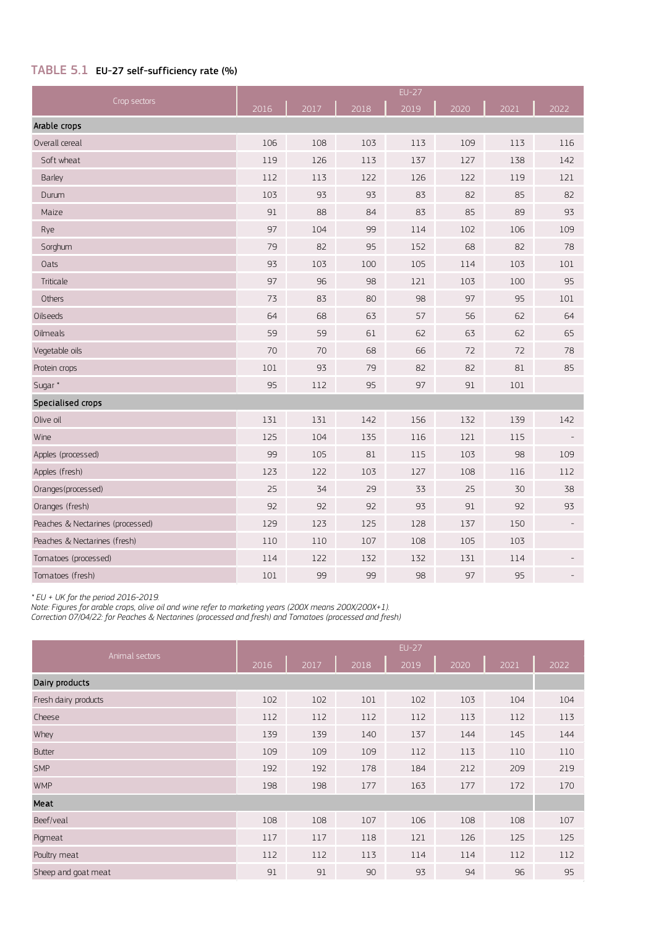## TABLE 5.1 EU-27 self-sufficiency rate (%)

| Crop sectors                     |      |      |      | $EU-27$ |      |      |      |
|----------------------------------|------|------|------|---------|------|------|------|
|                                  | 2016 | 2017 | 2018 | 2019    | 2020 | 2021 | 2022 |
| Arable crops                     |      |      |      |         |      |      |      |
| Overall cereal                   | 106  | 108  | 103  | 113     | 109  | 113  | 116  |
| Soft wheat                       | 119  | 126  | 113  | 137     | 127  | 138  | 142  |
| Barley                           | 112  | 113  | 122  | 126     | 122  | 119  | 121  |
| Durum                            | 103  | 93   | 93   | 83      | 82   | 85   | 82   |
| Maize                            | 91   | 88   | 84   | 83      | 85   | 89   | 93   |
| Rye                              | 97   | 104  | 99   | 114     | 102  | 106  | 109  |
| Sorghum                          | 79   | 82   | 95   | 152     | 68   | 82   | 78   |
| Oats                             | 93   | 103  | 100  | 105     | 114  | 103  | 101  |
| Triticale                        | 97   | 96   | 98   | 121     | 103  | 100  | 95   |
| Others                           | 73   | 83   | 80   | 98      | 97   | 95   | 101  |
| Oilseeds                         | 64   | 68   | 63   | 57      | 56   | 62   | 64   |
| Oilmeals                         | 59   | 59   | 61   | 62      | 63   | 62   | 65   |
| Vegetable oils                   | 70   | 70   | 68   | 66      | 72   | 72   | 78   |
| Protein crops                    | 101  | 93   | 79   | 82      | 82   | 81   | 85   |
| Sugar <sup>*</sup>               | 95   | 112  | 95   | 97      | 91   | 101  |      |
| Specialised crops                |      |      |      |         |      |      |      |
| Olive oil                        | 131  | 131  | 142  | 156     | 132  | 139  | 142  |
| Wine                             | 125  | 104  | 135  | 116     | 121  | 115  |      |
| Apples (processed)               | 99   | 105  | 81   | 115     | 103  | 98   | 109  |
| Apples (fresh)                   | 123  | 122  | 103  | 127     | 108  | 116  | 112  |
| Oranges (processed)              | 25   | 34   | 29   | 33      | 25   | 30   | 38   |
| Oranges (fresh)                  | 92   | 92   | 92   | 93      | 91   | 92   | 93   |
| Peaches & Nectarines (processed) | 129  | 123  | 125  | 128     | 137  | 150  |      |
| Peaches & Nectarines (fresh)     | 110  | 110  | 107  | 108     | 105  | 103  |      |
| Tomatoes (processed)             | 114  | 122  | 132  | 132     | 131  | 114  |      |
| Tomatoes (fresh)                 | 101  | 99   | 99   | 98      | 97   | 95   |      |

*\* EU + UK for the period 2016-2019.*

*Note: Figures for arable crops, olive oil and wine refer to marketing years (200X means 200X/200X+1).*

*Correction 07/04/22: for Peaches & Nectarines (processed and fresh) and Tomatoes (processed and fresh)*

| Animal sectors       |      |      |      | $EU-27$ |      |      |      |
|----------------------|------|------|------|---------|------|------|------|
|                      | 2016 | 2017 | 2018 | 2019    | 2020 | 2021 | 2022 |
| Dairy products       |      |      |      |         |      |      |      |
| Fresh dairy products | 102  | 102  | 101  | 102     | 103  | 104  | 104  |
| Cheese               | 112  | 112  | 112  | 112     | 113  | 112  | 113  |
| Whey                 | 139  | 139  | 140  | 137     | 144  | 145  | 144  |
| <b>Butter</b>        | 109  | 109  | 109  | 112     | 113  | 110  | 110  |
| <b>SMP</b>           | 192  | 192  | 178  | 184     | 212  | 209  | 219  |
| <b>WMP</b>           | 198  | 198  | 177  | 163     | 177  | 172  | 170  |
| Meat                 |      |      |      |         |      |      |      |
| Beef/veal            | 108  | 108  | 107  | 106     | 108  | 108  | 107  |
| Pigmeat              | 117  | 117  | 118  | 121     | 126  | 125  | 125  |
| Poultry meat         | 112  | 112  | 113  | 114     | 114  | 112  | 112  |
| Sheep and goat meat  | 91   | 91   | 90   | 93      | 94   | 96   | 95   |